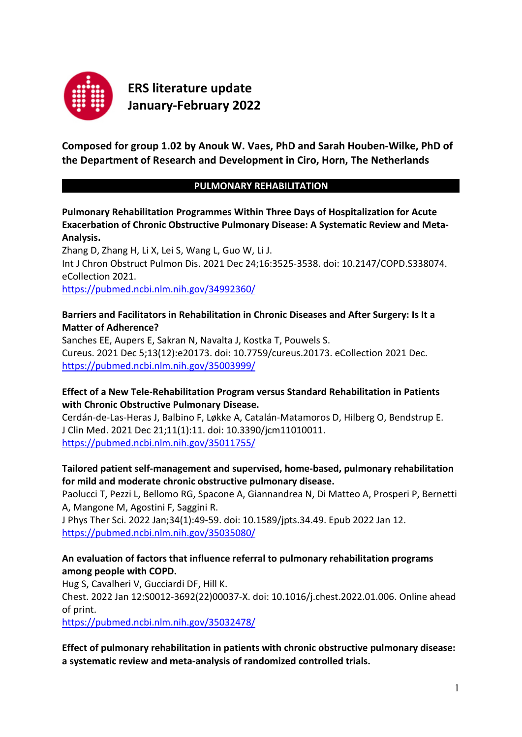

**ERS literature update January-February 2022**

**Composed for group 1.02 by Anouk W. Vaes, PhD and Sarah Houben-Wilke, PhD of the Department of Research and Development in Ciro, Horn, The Netherlands**

# **PULMONARY REHABILITATION**

**Pulmonary Rehabilitation Programmes Within Three Days of Hospitalization for Acute Exacerbation of Chronic Obstructive Pulmonary Disease: A Systematic Review and Meta-Analysis.**

Zhang D, Zhang H, Li X, Lei S, Wang L, Guo W, Li J. Int J Chron Obstruct Pulmon Dis. 2021 Dec 24;16:3525-3538. doi: 10.2147/COPD.S338074. eCollection 2021.

<https://pubmed.ncbi.nlm.nih.gov/34992360/>

### **Barriers and Facilitators in Rehabilitation in Chronic Diseases and After Surgery: Is It a Matter of Adherence?**

Sanches EE, Aupers E, Sakran N, Navalta J, Kostka T, Pouwels S. Cureus. 2021 Dec 5;13(12):e20173. doi: 10.7759/cureus.20173. eCollection 2021 Dec. <https://pubmed.ncbi.nlm.nih.gov/35003999/>

# **Effect of a New Tele-Rehabilitation Program versus Standard Rehabilitation in Patients with Chronic Obstructive Pulmonary Disease.**

Cerdán-de-Las-Heras J, Balbino F, Løkke A, Catalán-Matamoros D, Hilberg O, Bendstrup E. J Clin Med. 2021 Dec 21;11(1):11. doi: 10.3390/jcm11010011. <https://pubmed.ncbi.nlm.nih.gov/35011755/>

# **Tailored patient self-management and supervised, home-based, pulmonary rehabilitation for mild and moderate chronic obstructive pulmonary disease.**

Paolucci T, Pezzi L, Bellomo RG, Spacone A, Giannandrea N, Di Matteo A, Prosperi P, Bernetti A, Mangone M, Agostini F, Saggini R.

J Phys Ther Sci. 2022 Jan;34(1):49-59. doi: 10.1589/jpts.34.49. Epub 2022 Jan 12. <https://pubmed.ncbi.nlm.nih.gov/35035080/>

# **An evaluation of factors that influence referral to pulmonary rehabilitation programs among people with COPD.**

Hug S, Cavalheri V, Gucciardi DF, Hill K.

Chest. 2022 Jan 12:S0012-3692(22)00037-X. doi: 10.1016/j.chest.2022.01.006. Online ahead of print.

<https://pubmed.ncbi.nlm.nih.gov/35032478/>

**Effect of pulmonary rehabilitation in patients with chronic obstructive pulmonary disease: a systematic review and meta-analysis of randomized controlled trials.**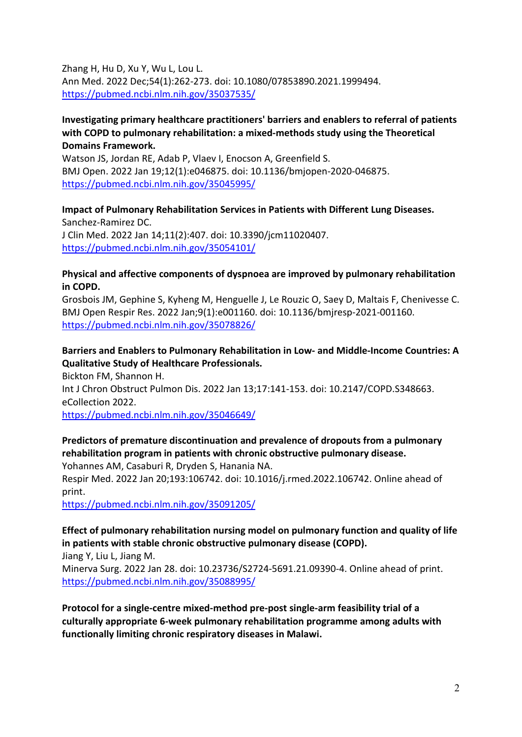Zhang H, Hu D, Xu Y, Wu L, Lou L. Ann Med. 2022 Dec;54(1):262-273. doi: 10.1080/07853890.2021.1999494. <https://pubmed.ncbi.nlm.nih.gov/35037535/>

# **Investigating primary healthcare practitioners' barriers and enablers to referral of patients with COPD to pulmonary rehabilitation: a mixed-methods study using the Theoretical Domains Framework.**

Watson JS, Jordan RE, Adab P, Vlaev I, Enocson A, Greenfield S. BMJ Open. 2022 Jan 19;12(1):e046875. doi: 10.1136/bmjopen-2020-046875. <https://pubmed.ncbi.nlm.nih.gov/35045995/>

**Impact of Pulmonary Rehabilitation Services in Patients with Different Lung Diseases.** Sanchez-Ramirez DC. J Clin Med. 2022 Jan 14;11(2):407. doi: 10.3390/jcm11020407. <https://pubmed.ncbi.nlm.nih.gov/35054101/>

#### **Physical and affective components of dyspnoea are improved by pulmonary rehabilitation in COPD.**

Grosbois JM, Gephine S, Kyheng M, Henguelle J, Le Rouzic O, Saey D, Maltais F, Chenivesse C. BMJ Open Respir Res. 2022 Jan;9(1):e001160. doi: 10.1136/bmjresp-2021-001160. <https://pubmed.ncbi.nlm.nih.gov/35078826/>

# **Barriers and Enablers to Pulmonary Rehabilitation in Low- and Middle-Income Countries: A Qualitative Study of Healthcare Professionals.**

Bickton FM, Shannon H. Int J Chron Obstruct Pulmon Dis. 2022 Jan 13;17:141-153. doi: 10.2147/COPD.S348663. eCollection 2022. <https://pubmed.ncbi.nlm.nih.gov/35046649/>

# **Predictors of premature discontinuation and prevalence of dropouts from a pulmonary rehabilitation program in patients with chronic obstructive pulmonary disease.**

Yohannes AM, Casaburi R, Dryden S, Hanania NA.

Respir Med. 2022 Jan 20;193:106742. doi: 10.1016/j.rmed.2022.106742. Online ahead of print.

<https://pubmed.ncbi.nlm.nih.gov/35091205/>

# **Effect of pulmonary rehabilitation nursing model on pulmonary function and quality of life in patients with stable chronic obstructive pulmonary disease (COPD).**

Jiang Y, Liu L, Jiang M.

Minerva Surg. 2022 Jan 28. doi: 10.23736/S2724-5691.21.09390-4. Online ahead of print. <https://pubmed.ncbi.nlm.nih.gov/35088995/>

**Protocol for a single-centre mixed-method pre-post single-arm feasibility trial of a culturally appropriate 6-week pulmonary rehabilitation programme among adults with functionally limiting chronic respiratory diseases in Malawi.**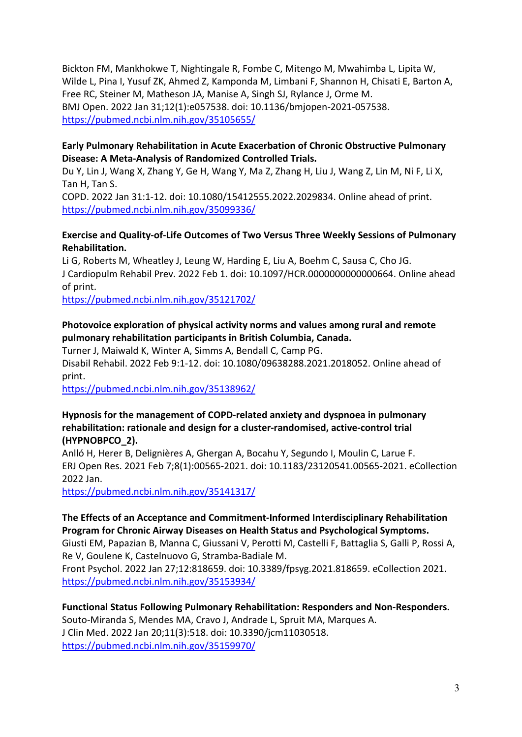Bickton FM, Mankhokwe T, Nightingale R, Fombe C, Mitengo M, Mwahimba L, Lipita W, Wilde L, Pina I, Yusuf ZK, Ahmed Z, Kamponda M, Limbani F, Shannon H, Chisati E, Barton A, Free RC, Steiner M, Matheson JA, Manise A, Singh SJ, Rylance J, Orme M. BMJ Open. 2022 Jan 31;12(1):e057538. doi: 10.1136/bmjopen-2021-057538. <https://pubmed.ncbi.nlm.nih.gov/35105655/>

#### **Early Pulmonary Rehabilitation in Acute Exacerbation of Chronic Obstructive Pulmonary Disease: A Meta-Analysis of Randomized Controlled Trials.**

Du Y, Lin J, Wang X, Zhang Y, Ge H, Wang Y, Ma Z, Zhang H, Liu J, Wang Z, Lin M, Ni F, Li X, Tan H, Tan S.

COPD. 2022 Jan 31:1-12. doi: 10.1080/15412555.2022.2029834. Online ahead of print. <https://pubmed.ncbi.nlm.nih.gov/35099336/>

#### **Exercise and Quality-of-Life Outcomes of Two Versus Three Weekly Sessions of Pulmonary Rehabilitation.**

Li G, Roberts M, Wheatley J, Leung W, Harding E, Liu A, Boehm C, Sausa C, Cho JG. J Cardiopulm Rehabil Prev. 2022 Feb 1. doi: 10.1097/HCR.0000000000000664. Online ahead of print.

<https://pubmed.ncbi.nlm.nih.gov/35121702/>

# **Photovoice exploration of physical activity norms and values among rural and remote pulmonary rehabilitation participants in British Columbia, Canada.**

Turner J, Maiwald K, Winter A, Simms A, Bendall C, Camp PG. Disabil Rehabil. 2022 Feb 9:1-12. doi: 10.1080/09638288.2021.2018052. Online ahead of print.

<https://pubmed.ncbi.nlm.nih.gov/35138962/>

#### **Hypnosis for the management of COPD-related anxiety and dyspnoea in pulmonary rehabilitation: rationale and design for a cluster-randomised, active-control trial (HYPNOBPCO\_2).**

Anlló H, Herer B, Delignières A, Ghergan A, Bocahu Y, Segundo I, Moulin C, Larue F. ERJ Open Res. 2021 Feb 7;8(1):00565-2021. doi: 10.1183/23120541.00565-2021. eCollection 2022 Jan.

<https://pubmed.ncbi.nlm.nih.gov/35141317/>

# **The Effects of an Acceptance and Commitment-Informed Interdisciplinary Rehabilitation Program for Chronic Airway Diseases on Health Status and Psychological Symptoms.**

Giusti EM, Papazian B, Manna C, Giussani V, Perotti M, Castelli F, Battaglia S, Galli P, Rossi A, Re V, Goulene K, Castelnuovo G, Stramba-Badiale M.

Front Psychol. 2022 Jan 27;12:818659. doi: 10.3389/fpsyg.2021.818659. eCollection 2021. <https://pubmed.ncbi.nlm.nih.gov/35153934/>

**Functional Status Following Pulmonary Rehabilitation: Responders and Non-Responders.** Souto-Miranda S, Mendes MA, Cravo J, Andrade L, Spruit MA, Marques A. J Clin Med. 2022 Jan 20;11(3):518. doi: 10.3390/jcm11030518. <https://pubmed.ncbi.nlm.nih.gov/35159970/>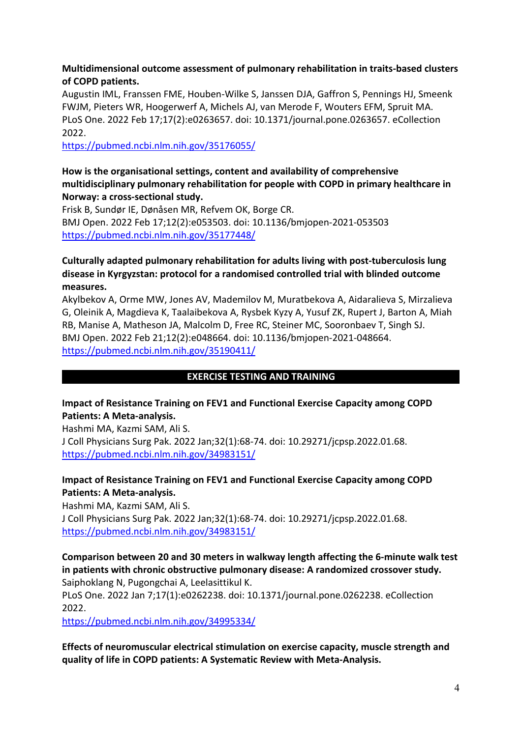#### **Multidimensional outcome assessment of pulmonary rehabilitation in traits-based clusters of COPD patients.**

Augustin IML, Franssen FME, Houben-Wilke S, Janssen DJA, Gaffron S, Pennings HJ, Smeenk FWJM, Pieters WR, Hoogerwerf A, Michels AJ, van Merode F, Wouters EFM, Spruit MA. PLoS One. 2022 Feb 17;17(2):e0263657. doi: 10.1371/journal.pone.0263657. eCollection 2022.

<https://pubmed.ncbi.nlm.nih.gov/35176055/>

# **How is the organisational settings, content and availability of comprehensive multidisciplinary pulmonary rehabilitation for people with COPD in primary healthcare in Norway: a cross-sectional study.**

Frisk B, Sundør IE, Dønåsen MR, Refvem OK, Borge CR. BMJ Open. 2022 Feb 17;12(2):e053503. doi: 10.1136/bmjopen-2021-053503 <https://pubmed.ncbi.nlm.nih.gov/35177448/>

# **Culturally adapted pulmonary rehabilitation for adults living with post-tuberculosis lung disease in Kyrgyzstan: protocol for a randomised controlled trial with blinded outcome measures.**

Akylbekov A, Orme MW, Jones AV, Mademilov M, Muratbekova A, Aidaralieva S, Mirzalieva G, Oleinik A, Magdieva K, Taalaibekova A, Rysbek Kyzy A, Yusuf ZK, Rupert J, Barton A, Miah RB, Manise A, Matheson JA, Malcolm D, Free RC, Steiner MC, Sooronbaev T, Singh SJ. BMJ Open. 2022 Feb 21;12(2):e048664. doi: 10.1136/bmjopen-2021-048664. <https://pubmed.ncbi.nlm.nih.gov/35190411/>

# **EXERCISE TESTING AND TRAINING**

# **Impact of Resistance Training on FEV1 and Functional Exercise Capacity among COPD Patients: A Meta-analysis.**

Hashmi MA, Kazmi SAM, Ali S. J Coll Physicians Surg Pak. 2022 Jan;32(1):68-74. doi: 10.29271/jcpsp.2022.01.68. <https://pubmed.ncbi.nlm.nih.gov/34983151/>

# **Impact of Resistance Training on FEV1 and Functional Exercise Capacity among COPD Patients: A Meta-analysis.**

Hashmi MA, Kazmi SAM, Ali S. J Coll Physicians Surg Pak. 2022 Jan;32(1):68-74. doi: 10.29271/jcpsp.2022.01.68. <https://pubmed.ncbi.nlm.nih.gov/34983151/>

# **Comparison between 20 and 30 meters in walkway length affecting the 6-minute walk test in patients with chronic obstructive pulmonary disease: A randomized crossover study.**

Saiphoklang N, Pugongchai A, Leelasittikul K.

PLoS One. 2022 Jan 7;17(1):e0262238. doi: 10.1371/journal.pone.0262238. eCollection 2022.

<https://pubmed.ncbi.nlm.nih.gov/34995334/>

**Effects of neuromuscular electrical stimulation on exercise capacity, muscle strength and quality of life in COPD patients: A Systematic Review with Meta-Analysis.**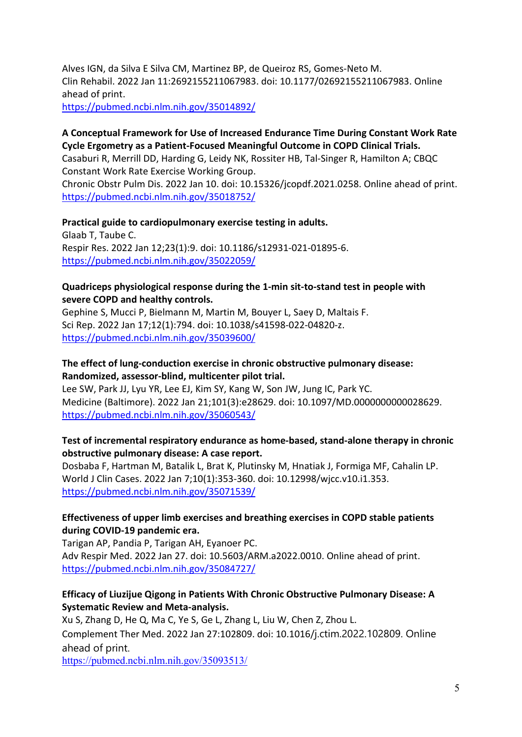Alves IGN, da Silva E Silva CM, Martinez BP, de Queiroz RS, Gomes-Neto M. Clin Rehabil. 2022 Jan 11:2692155211067983. doi: 10.1177/02692155211067983. Online ahead of print. <https://pubmed.ncbi.nlm.nih.gov/35014892/>

**A Conceptual Framework for Use of Increased Endurance Time During Constant Work Rate Cycle Ergometry as a Patient-Focused Meaningful Outcome in COPD Clinical Trials.**

Casaburi R, Merrill DD, Harding G, Leidy NK, Rossiter HB, Tal-Singer R, Hamilton A; CBQC Constant Work Rate Exercise Working Group.

Chronic Obstr Pulm Dis. 2022 Jan 10. doi: 10.15326/jcopdf.2021.0258. Online ahead of print. <https://pubmed.ncbi.nlm.nih.gov/35018752/>

**Practical guide to cardiopulmonary exercise testing in adults.** Glaab T, Taube C. Respir Res. 2022 Jan 12;23(1):9. doi: 10.1186/s12931-021-01895-6. <https://pubmed.ncbi.nlm.nih.gov/35022059/>

#### **Quadriceps physiological response during the 1-min sit-to-stand test in people with severe COPD and healthy controls.**

Gephine S, Mucci P, Bielmann M, Martin M, Bouyer L, Saey D, Maltais F. Sci Rep. 2022 Jan 17;12(1):794. doi: 10.1038/s41598-022-04820-z. <https://pubmed.ncbi.nlm.nih.gov/35039600/>

# **The effect of lung-conduction exercise in chronic obstructive pulmonary disease: Randomized, assessor-blind, multicenter pilot trial.**

Lee SW, Park JJ, Lyu YR, Lee EJ, Kim SY, Kang W, Son JW, Jung IC, Park YC. Medicine (Baltimore). 2022 Jan 21;101(3):e28629. doi: 10.1097/MD.0000000000028629. <https://pubmed.ncbi.nlm.nih.gov/35060543/>

# **Test of incremental respiratory endurance as home-based, stand-alone therapy in chronic obstructive pulmonary disease: A case report.**

Dosbaba F, Hartman M, Batalik L, Brat K, Plutinsky M, Hnatiak J, Formiga MF, Cahalin LP. World J Clin Cases. 2022 Jan 7;10(1):353-360. doi: 10.12998/wjcc.v10.i1.353. <https://pubmed.ncbi.nlm.nih.gov/35071539/>

# **Effectiveness of upper limb exercises and breathing exercises in COPD stable patients during COVID-19 pandemic era.**

Tarigan AP, Pandia P, Tarigan AH, Eyanoer PC. Adv Respir Med. 2022 Jan 27. doi: 10.5603/ARM.a2022.0010. Online ahead of print. <https://pubmed.ncbi.nlm.nih.gov/35084727/>

# **Efficacy of Liuzijue Qigong in Patients With Chronic Obstructive Pulmonary Disease: A Systematic Review and Meta-analysis.**

Xu S, Zhang D, He Q, Ma C, Ye S, Ge L, Zhang L, Liu W, Chen Z, Zhou L. Complement Ther Med. 2022 Jan 27:102809. doi: 10.1016/j.ctim.2022.102809. Online ahead of print. <https://pubmed.ncbi.nlm.nih.gov/35093513/>

5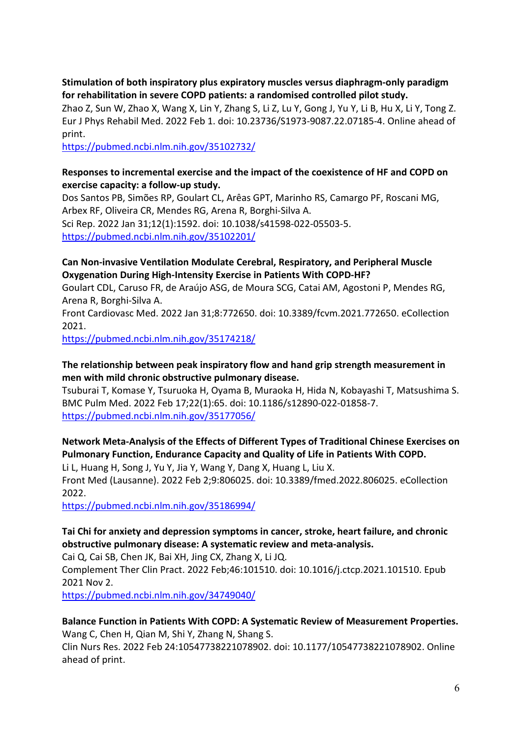**Stimulation of both inspiratory plus expiratory muscles versus diaphragm-only paradigm for rehabilitation in severe COPD patients: a randomised controlled pilot study.**

Zhao Z, Sun W, Zhao X, Wang X, Lin Y, Zhang S, Li Z, Lu Y, Gong J, Yu Y, Li B, Hu X, Li Y, Tong Z. Eur J Phys Rehabil Med. 2022 Feb 1. doi: 10.23736/S1973-9087.22.07185-4. Online ahead of print.

<https://pubmed.ncbi.nlm.nih.gov/35102732/>

#### **Responses to incremental exercise and the impact of the coexistence of HF and COPD on exercise capacity: a follow-up study.**

Dos Santos PB, Simões RP, Goulart CL, Arêas GPT, Marinho RS, Camargo PF, Roscani MG, Arbex RF, Oliveira CR, Mendes RG, Arena R, Borghi-Silva A. Sci Rep. 2022 Jan 31;12(1):1592. doi: 10.1038/s41598-022-05503-5. <https://pubmed.ncbi.nlm.nih.gov/35102201/>

### **Can Non-invasive Ventilation Modulate Cerebral, Respiratory, and Peripheral Muscle Oxygenation During High-Intensity Exercise in Patients With COPD-HF?**

Goulart CDL, Caruso FR, de Araújo ASG, de Moura SCG, Catai AM, Agostoni P, Mendes RG, Arena R, Borghi-Silva A.

Front Cardiovasc Med. 2022 Jan 31;8:772650. doi: 10.3389/fcvm.2021.772650. eCollection 2021.

<https://pubmed.ncbi.nlm.nih.gov/35174218/>

#### **The relationship between peak inspiratory flow and hand grip strength measurement in men with mild chronic obstructive pulmonary disease.**

Tsuburai T, Komase Y, Tsuruoka H, Oyama B, Muraoka H, Hida N, Kobayashi T, Matsushima S. BMC Pulm Med. 2022 Feb 17;22(1):65. doi: 10.1186/s12890-022-01858-7. <https://pubmed.ncbi.nlm.nih.gov/35177056/>

# **Network Meta-Analysis of the Effects of Different Types of Traditional Chinese Exercises on Pulmonary Function, Endurance Capacity and Quality of Life in Patients With COPD.**

Li L, Huang H, Song J, Yu Y, Jia Y, Wang Y, Dang X, Huang L, Liu X. Front Med (Lausanne). 2022 Feb 2;9:806025. doi: 10.3389/fmed.2022.806025. eCollection 2022.

<https://pubmed.ncbi.nlm.nih.gov/35186994/>

# **Tai Chi for anxiety and depression symptoms in cancer, stroke, heart failure, and chronic obstructive pulmonary disease: A systematic review and meta-analysis.**

Cai Q, Cai SB, Chen JK, Bai XH, Jing CX, Zhang X, Li JQ.

Complement Ther Clin Pract. 2022 Feb;46:101510. doi: 10.1016/j.ctcp.2021.101510. Epub 2021 Nov 2.

<https://pubmed.ncbi.nlm.nih.gov/34749040/>

#### **Balance Function in Patients With COPD: A Systematic Review of Measurement Properties.** Wang C, Chen H, Qian M, Shi Y, Zhang N, Shang S.

Clin Nurs Res. 2022 Feb 24:10547738221078902. doi: 10.1177/10547738221078902. Online ahead of print.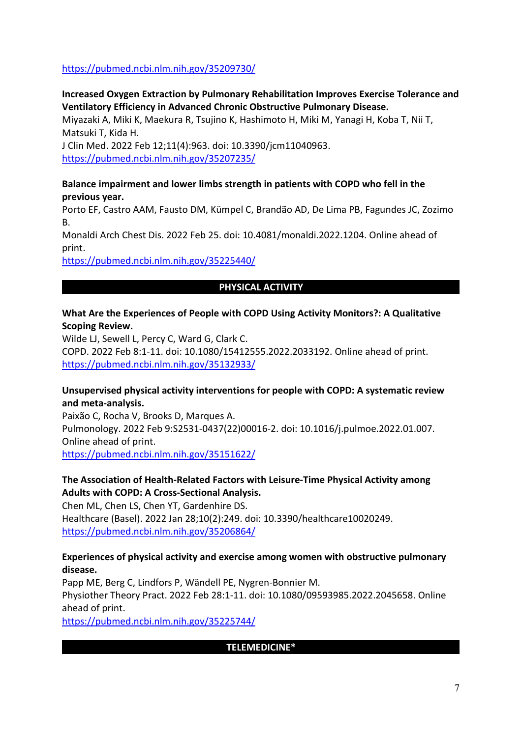<https://pubmed.ncbi.nlm.nih.gov/35209730/>

# **Increased Oxygen Extraction by Pulmonary Rehabilitation Improves Exercise Tolerance and Ventilatory Efficiency in Advanced Chronic Obstructive Pulmonary Disease.**

Miyazaki A, Miki K, Maekura R, Tsujino K, Hashimoto H, Miki M, Yanagi H, Koba T, Nii T, Matsuki T, Kida H.

J Clin Med. 2022 Feb 12;11(4):963. doi: 10.3390/jcm11040963. <https://pubmed.ncbi.nlm.nih.gov/35207235/>

#### **Balance impairment and lower limbs strength in patients with COPD who fell in the previous year.**

Porto EF, Castro AAM, Fausto DM, Kümpel C, Brandão AD, De Lima PB, Fagundes JC, Zozimo B.

Monaldi Arch Chest Dis. 2022 Feb 25. doi: 10.4081/monaldi.2022.1204. Online ahead of print.

<https://pubmed.ncbi.nlm.nih.gov/35225440/>

# **PHYSICAL ACTIVITY**

# **What Are the Experiences of People with COPD Using Activity Monitors?: A Qualitative Scoping Review.**

Wilde LJ, Sewell L, Percy C, Ward G, Clark C. COPD. 2022 Feb 8:1-11. doi: 10.1080/15412555.2022.2033192. Online ahead of print. <https://pubmed.ncbi.nlm.nih.gov/35132933/>

#### **Unsupervised physical activity interventions for people with COPD: A systematic review and meta-analysis.**

Paixão C, Rocha V, Brooks D, Marques A. Pulmonology. 2022 Feb 9:S2531-0437(22)00016-2. doi: 10.1016/j.pulmoe.2022.01.007. Online ahead of print. <https://pubmed.ncbi.nlm.nih.gov/35151622/>

# **The Association of Health-Related Factors with Leisure-Time Physical Activity among Adults with COPD: A Cross-Sectional Analysis.**

Chen ML, Chen LS, Chen YT, Gardenhire DS. Healthcare (Basel). 2022 Jan 28;10(2):249. doi: 10.3390/healthcare10020249. <https://pubmed.ncbi.nlm.nih.gov/35206864/>

#### **Experiences of physical activity and exercise among women with obstructive pulmonary disease.**

Papp ME, Berg C, Lindfors P, Wändell PE, Nygren-Bonnier M. Physiother Theory Pract. 2022 Feb 28:1-11. doi: 10.1080/09593985.2022.2045658. Online ahead of print.

<https://pubmed.ncbi.nlm.nih.gov/35225744/>

#### **TELEMEDICINE\***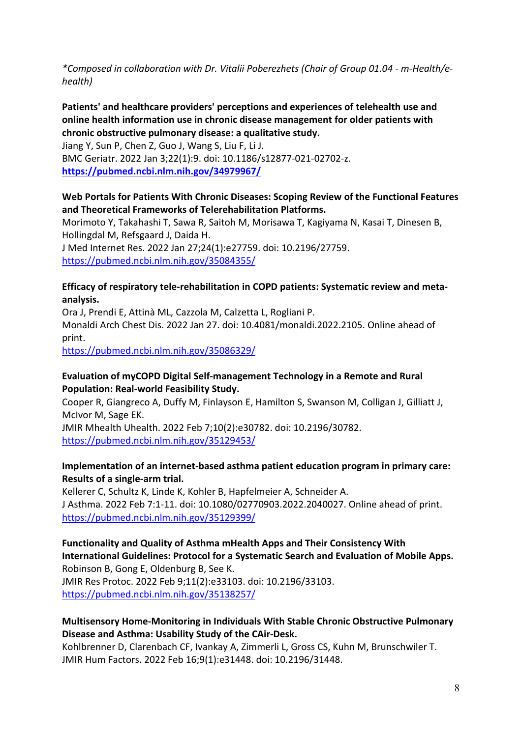*\*Composed in collaboration with Dr. Vitalii Poberezhets (Chair of Group 01.04 - m-Health/ehealth)*

**Patients' and healthcare providers' perceptions and experiences of telehealth use and online health information use in chronic disease management for older patients with chronic obstructive pulmonary disease: a qualitative study.**

Jiang Y, Sun P, Chen Z, Guo J, Wang S, Liu F, Li J. BMC Geriatr. 2022 Jan 3;22(1):9. doi: 10.1186/s12877-021-02702-z. **<https://pubmed.ncbi.nlm.nih.gov/34979967/>**

### **Web Portals for Patients With Chronic Diseases: Scoping Review of the Functional Features and Theoretical Frameworks of Telerehabilitation Platforms.**

Morimoto Y, Takahashi T, Sawa R, Saitoh M, Morisawa T, Kagiyama N, Kasai T, Dinesen B, Hollingdal M, Refsgaard J, Daida H.

J Med Internet Res. 2022 Jan 27;24(1):e27759. doi: 10.2196/27759. <https://pubmed.ncbi.nlm.nih.gov/35084355/>

#### **Efficacy of respiratory tele-rehabilitation in COPD patients: Systematic review and metaanalysis.**

Ora J, Prendi E, Attinà ML, Cazzola M, Calzetta L, Rogliani P. Monaldi Arch Chest Dis. 2022 Jan 27. doi: 10.4081/monaldi.2022.2105. Online ahead of print.

<https://pubmed.ncbi.nlm.nih.gov/35086329/>

#### **Evaluation of myCOPD Digital Self-management Technology in a Remote and Rural Population: Real-world Feasibility Study.**

Cooper R, Giangreco A, Duffy M, Finlayson E, Hamilton S, Swanson M, Colligan J, Gilliatt J, McIvor M, Sage EK.

JMIR Mhealth Uhealth. 2022 Feb 7;10(2):e30782. doi: 10.2196/30782. <https://pubmed.ncbi.nlm.nih.gov/35129453/>

# **Implementation of an internet-based asthma patient education program in primary care: Results of a single-arm trial.**

Kellerer C, Schultz K, Linde K, Kohler B, Hapfelmeier A, Schneider A. J Asthma. 2022 Feb 7:1-11. doi: 10.1080/02770903.2022.2040027. Online ahead of print. <https://pubmed.ncbi.nlm.nih.gov/35129399/>

#### **Functionality and Quality of Asthma mHealth Apps and Their Consistency With International Guidelines: Protocol for a Systematic Search and Evaluation of Mobile Apps.** Robinson B, Gong E, Oldenburg B, See K.

JMIR Res Protoc. 2022 Feb 9;11(2):e33103. doi: 10.2196/33103. <https://pubmed.ncbi.nlm.nih.gov/35138257/>

# **Multisensory Home-Monitoring in Individuals With Stable Chronic Obstructive Pulmonary Disease and Asthma: Usability Study of the CAir-Desk.**

Kohlbrenner D, Clarenbach CF, Ivankay A, Zimmerli L, Gross CS, Kuhn M, Brunschwiler T. JMIR Hum Factors. 2022 Feb 16;9(1):e31448. doi: 10.2196/31448.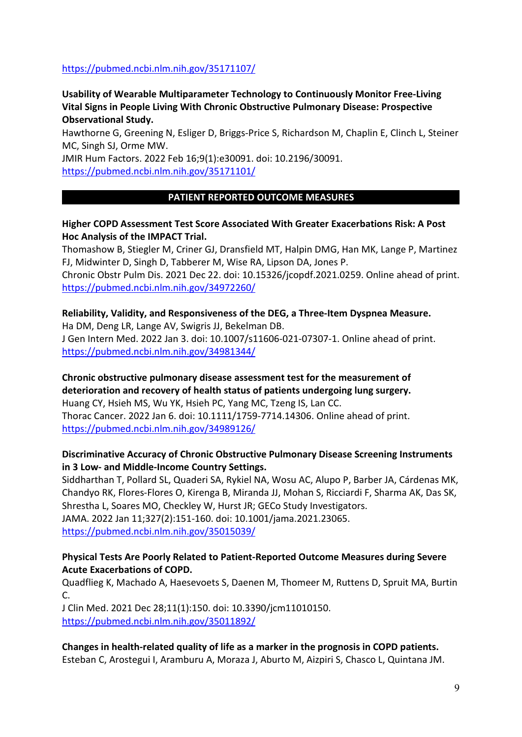#### <https://pubmed.ncbi.nlm.nih.gov/35171107/>

#### **Usability of Wearable Multiparameter Technology to Continuously Monitor Free-Living Vital Signs in People Living With Chronic Obstructive Pulmonary Disease: Prospective Observational Study.**

Hawthorne G, Greening N, Esliger D, Briggs-Price S, Richardson M, Chaplin E, Clinch L, Steiner MC, Singh SJ, Orme MW.

JMIR Hum Factors. 2022 Feb 16;9(1):e30091. doi: 10.2196/30091. <https://pubmed.ncbi.nlm.nih.gov/35171101/>

#### **PATIENT REPORTED OUTCOME MEASURES**

#### **Higher COPD Assessment Test Score Associated With Greater Exacerbations Risk: A Post Hoc Analysis of the IMPACT Trial.**

Thomashow B, Stiegler M, Criner GJ, Dransfield MT, Halpin DMG, Han MK, Lange P, Martinez FJ, Midwinter D, Singh D, Tabberer M, Wise RA, Lipson DA, Jones P. Chronic Obstr Pulm Dis. 2021 Dec 22. doi: 10.15326/jcopdf.2021.0259. Online ahead of print. <https://pubmed.ncbi.nlm.nih.gov/34972260/>

#### **Reliability, Validity, and Responsiveness of the DEG, a Three-Item Dyspnea Measure.**

Ha DM, Deng LR, Lange AV, Swigris JJ, Bekelman DB. J Gen Intern Med. 2022 Jan 3. doi: 10.1007/s11606-021-07307-1. Online ahead of print. <https://pubmed.ncbi.nlm.nih.gov/34981344/>

# **Chronic obstructive pulmonary disease assessment test for the measurement of deterioration and recovery of health status of patients undergoing lung surgery.** Huang CY, Hsieh MS, Wu YK, Hsieh PC, Yang MC, Tzeng IS, Lan CC. Thorac Cancer. 2022 Jan 6. doi: 10.1111/1759-7714.14306. Online ahead of print.

<https://pubmed.ncbi.nlm.nih.gov/34989126/>

# **Discriminative Accuracy of Chronic Obstructive Pulmonary Disease Screening Instruments in 3 Low- and Middle-Income Country Settings.**

Siddharthan T, Pollard SL, Quaderi SA, Rykiel NA, Wosu AC, Alupo P, Barber JA, Cárdenas MK, Chandyo RK, Flores-Flores O, Kirenga B, Miranda JJ, Mohan S, Ricciardi F, Sharma AK, Das SK, Shrestha L, Soares MO, Checkley W, Hurst JR; GECo Study Investigators. JAMA. 2022 Jan 11;327(2):151-160. doi: 10.1001/jama.2021.23065. <https://pubmed.ncbi.nlm.nih.gov/35015039/>

#### **Physical Tests Are Poorly Related to Patient-Reported Outcome Measures during Severe Acute Exacerbations of COPD.**

Quadflieg K, Machado A, Haesevoets S, Daenen M, Thomeer M, Ruttens D, Spruit MA, Burtin C.

J Clin Med. 2021 Dec 28;11(1):150. doi: 10.3390/jcm11010150. <https://pubmed.ncbi.nlm.nih.gov/35011892/>

**Changes in health-related quality of life as a marker in the prognosis in COPD patients.** Esteban C, Arostegui I, Aramburu A, Moraza J, Aburto M, Aizpiri S, Chasco L, Quintana JM.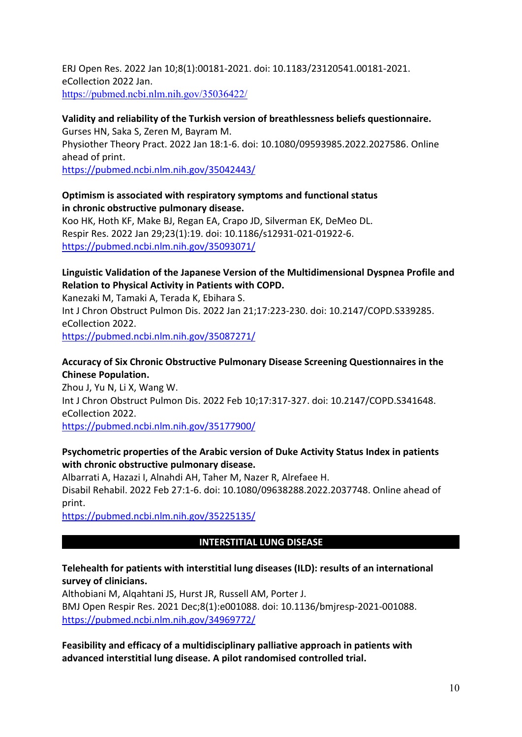ERJ Open Res. 2022 Jan 10;8(1):00181-2021. doi: 10.1183/23120541.00181-2021. eCollection 2022 Jan. <https://pubmed.ncbi.nlm.nih.gov/35036422/>

# **Validity and reliability of the Turkish version of breathlessness beliefs questionnaire.** Gurses HN, Saka S, Zeren M, Bayram M.

Physiother Theory Pract. 2022 Jan 18:1-6. doi: 10.1080/09593985.2022.2027586. Online ahead of print.

<https://pubmed.ncbi.nlm.nih.gov/35042443/>

### **Optimism is associated with respiratory symptoms and functional status in chronic obstructive pulmonary disease.**

Koo HK, Hoth KF, Make BJ, Regan EA, Crapo JD, Silverman EK, DeMeo DL. Respir Res. 2022 Jan 29;23(1):19. doi: 10.1186/s12931-021-01922-6. <https://pubmed.ncbi.nlm.nih.gov/35093071/>

# **Linguistic Validation of the Japanese Version of the Multidimensional Dyspnea Profile and Relation to Physical Activity in Patients with COPD.**

Kanezaki M, Tamaki A, Terada K, Ebihara S.

Int J Chron Obstruct Pulmon Dis. 2022 Jan 21;17:223-230. doi: 10.2147/COPD.S339285. eCollection 2022.

<https://pubmed.ncbi.nlm.nih.gov/35087271/>

# **Accuracy of Six Chronic Obstructive Pulmonary Disease Screening Questionnaires in the Chinese Population.**

Zhou J, Yu N, Li X, Wang W. Int J Chron Obstruct Pulmon Dis. 2022 Feb 10;17:317-327. doi: 10.2147/COPD.S341648. eCollection 2022. <https://pubmed.ncbi.nlm.nih.gov/35177900/>

#### **Psychometric properties of the Arabic version of Duke Activity Status Index in patients with chronic obstructive pulmonary disease.**

Albarrati A, Hazazi I, Alnahdi AH, Taher M, Nazer R, Alrefaee H. Disabil Rehabil. 2022 Feb 27:1-6. doi: 10.1080/09638288.2022.2037748. Online ahead of print.

<https://pubmed.ncbi.nlm.nih.gov/35225135/>

# **INTERSTITIAL LUNG DISEASE**

# **Telehealth for patients with interstitial lung diseases (ILD): results of an international survey of clinicians.**

Althobiani M, Alqahtani JS, Hurst JR, Russell AM, Porter J. BMJ Open Respir Res. 2021 Dec;8(1):e001088. doi: 10.1136/bmjresp-2021-001088. <https://pubmed.ncbi.nlm.nih.gov/34969772/>

**Feasibility and efficacy of a multidisciplinary palliative approach in patients with advanced interstitial lung disease. A pilot randomised controlled trial.**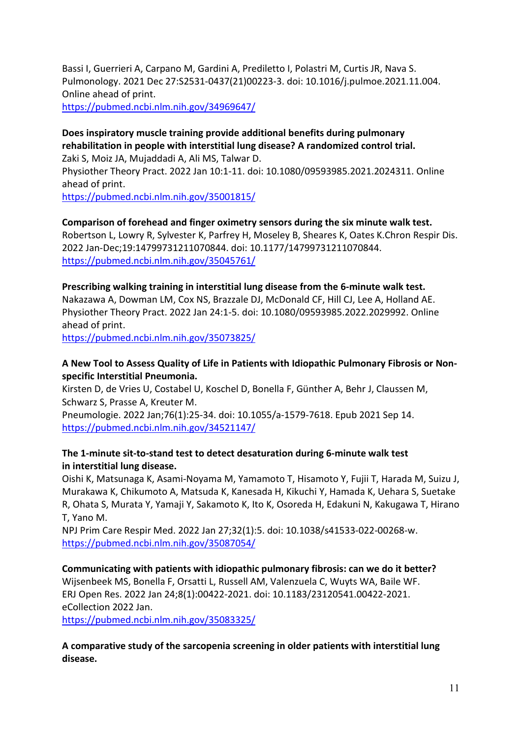Bassi I, Guerrieri A, Carpano M, Gardini A, Prediletto I, Polastri M, Curtis JR, Nava S. Pulmonology. 2021 Dec 27:S2531-0437(21)00223-3. doi: 10.1016/j.pulmoe.2021.11.004. Online ahead of print. <https://pubmed.ncbi.nlm.nih.gov/34969647/>

**Does inspiratory muscle training provide additional benefits during pulmonary rehabilitation in people with interstitial lung disease? A randomized control trial.** Zaki S, Moiz JA, Mujaddadi A, Ali MS, Talwar D. Physiother Theory Pract. 2022 Jan 10:1-11. doi: 10.1080/09593985.2021.2024311. Online

ahead of print.

<https://pubmed.ncbi.nlm.nih.gov/35001815/>

**Comparison of forehead and finger oximetry sensors during the six minute walk test.** Robertson L, Lowry R, Sylvester K, Parfrey H, Moseley B, Sheares K, Oates K.Chron Respir Dis. 2022 Jan-Dec;19:14799731211070844. doi: 10.1177/14799731211070844. <https://pubmed.ncbi.nlm.nih.gov/35045761/>

**Prescribing walking training in interstitial lung disease from the 6-minute walk test.** Nakazawa A, Dowman LM, Cox NS, Brazzale DJ, McDonald CF, Hill CJ, Lee A, Holland AE. Physiother Theory Pract. 2022 Jan 24:1-5. doi: 10.1080/09593985.2022.2029992. Online ahead of print.

<https://pubmed.ncbi.nlm.nih.gov/35073825/>

# **A New Tool to Assess Quality of Life in Patients with Idiopathic Pulmonary Fibrosis or Nonspecific Interstitial Pneumonia.**

Kirsten D, de Vries U, Costabel U, Koschel D, Bonella F, Günther A, Behr J, Claussen M, Schwarz S, Prasse A, Kreuter M.

Pneumologie. 2022 Jan;76(1):25-34. doi: 10.1055/a-1579-7618. Epub 2021 Sep 14. <https://pubmed.ncbi.nlm.nih.gov/34521147/>

#### **The 1-minute sit-to-stand test to detect desaturation during 6-minute walk test in interstitial lung disease.**

Oishi K, Matsunaga K, Asami-Noyama M, Yamamoto T, Hisamoto Y, Fujii T, Harada M, Suizu J, Murakawa K, Chikumoto A, Matsuda K, Kanesada H, Kikuchi Y, Hamada K, Uehara S, Suetake R, Ohata S, Murata Y, Yamaji Y, Sakamoto K, Ito K, Osoreda H, Edakuni N, Kakugawa T, Hirano T, Yano M.

NPJ Prim Care Respir Med. 2022 Jan 27;32(1):5. doi: 10.1038/s41533-022-00268-w. <https://pubmed.ncbi.nlm.nih.gov/35087054/>

**Communicating with patients with idiopathic pulmonary fibrosis: can we do it better?** Wijsenbeek MS, Bonella F, Orsatti L, Russell AM, Valenzuela C, Wuyts WA, Baile WF. ERJ Open Res. 2022 Jan 24;8(1):00422-2021. doi: 10.1183/23120541.00422-2021. eCollection 2022 Jan.

<https://pubmed.ncbi.nlm.nih.gov/35083325/>

**A comparative study of the sarcopenia screening in older patients with interstitial lung disease.**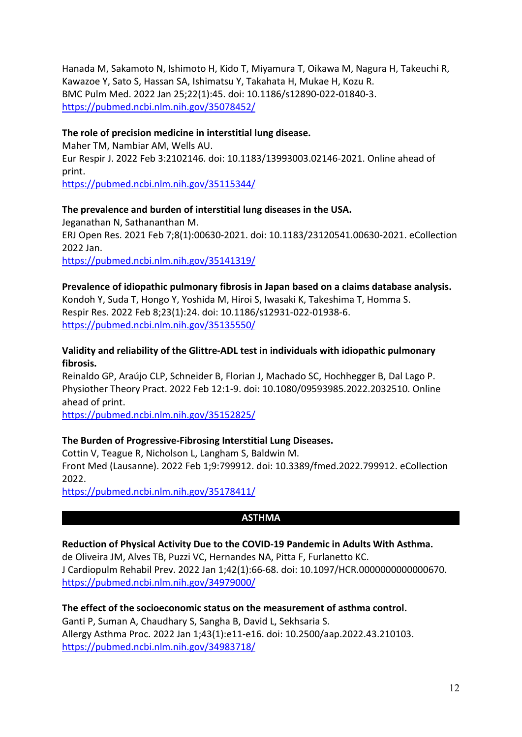Hanada M, Sakamoto N, Ishimoto H, Kido T, Miyamura T, Oikawa M, Nagura H, Takeuchi R, Kawazoe Y, Sato S, Hassan SA, Ishimatsu Y, Takahata H, Mukae H, Kozu R. BMC Pulm Med. 2022 Jan 25;22(1):45. doi: 10.1186/s12890-022-01840-3. <https://pubmed.ncbi.nlm.nih.gov/35078452/>

#### **The role of precision medicine in interstitial lung disease.**

Maher TM, Nambiar AM, Wells AU.

Eur Respir J. 2022 Feb 3:2102146. doi: 10.1183/13993003.02146-2021. Online ahead of print.

<https://pubmed.ncbi.nlm.nih.gov/35115344/>

#### **The prevalence and burden of interstitial lung diseases in the USA.**

Jeganathan N, Sathananthan M. ERJ Open Res. 2021 Feb 7;8(1):00630-2021. doi: 10.1183/23120541.00630-2021. eCollection 2022 Jan.

<https://pubmed.ncbi.nlm.nih.gov/35141319/>

**Prevalence of idiopathic pulmonary fibrosis in Japan based on a claims database analysis.** Kondoh Y, Suda T, Hongo Y, Yoshida M, Hiroi S, Iwasaki K, Takeshima T, Homma S. Respir Res. 2022 Feb 8;23(1):24. doi: 10.1186/s12931-022-01938-6. <https://pubmed.ncbi.nlm.nih.gov/35135550/>

#### **Validity and reliability of the Glittre-ADL test in individuals with idiopathic pulmonary fibrosis.**

Reinaldo GP, Araújo CLP, Schneider B, Florian J, Machado SC, Hochhegger B, Dal Lago P. Physiother Theory Pract. 2022 Feb 12:1-9. doi: 10.1080/09593985.2022.2032510. Online ahead of print.

<https://pubmed.ncbi.nlm.nih.gov/35152825/>

#### **The Burden of Progressive-Fibrosing Interstitial Lung Diseases.**

Cottin V, Teague R, Nicholson L, Langham S, Baldwin M. Front Med (Lausanne). 2022 Feb 1;9:799912. doi: 10.3389/fmed.2022.799912. eCollection 2022.

<https://pubmed.ncbi.nlm.nih.gov/35178411/>

#### **ASTHMA**

#### **Reduction of Physical Activity Due to the COVID-19 Pandemic in Adults With Asthma.**

de Oliveira JM, Alves TB, Puzzi VC, Hernandes NA, Pitta F, Furlanetto KC. J Cardiopulm Rehabil Prev. 2022 Jan 1;42(1):66-68. doi: 10.1097/HCR.0000000000000670. <https://pubmed.ncbi.nlm.nih.gov/34979000/>

# **The effect of the socioeconomic status on the measurement of asthma control.** Ganti P, Suman A, Chaudhary S, Sangha B, David L, Sekhsaria S. Allergy Asthma Proc. 2022 Jan 1;43(1):e11-e16. doi: 10.2500/aap.2022.43.210103.

<https://pubmed.ncbi.nlm.nih.gov/34983718/>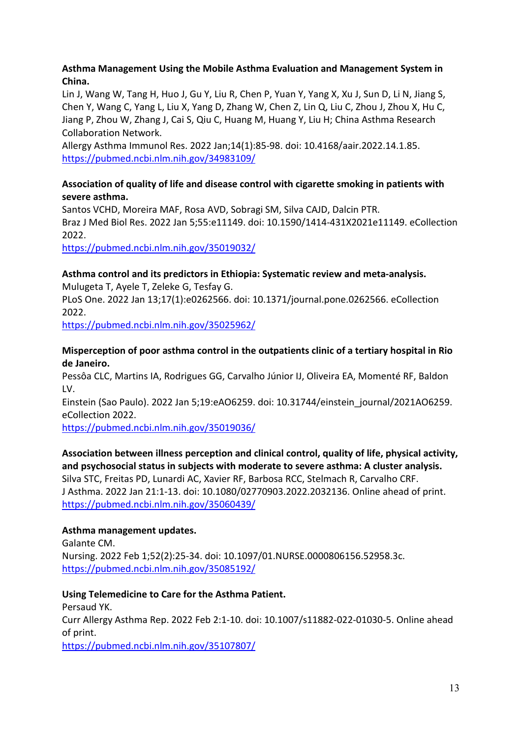#### **Asthma Management Using the Mobile Asthma Evaluation and Management System in China.**

Lin J, Wang W, Tang H, Huo J, Gu Y, Liu R, Chen P, Yuan Y, Yang X, Xu J, Sun D, Li N, Jiang S, Chen Y, Wang C, Yang L, Liu X, Yang D, Zhang W, Chen Z, Lin Q, Liu C, Zhou J, Zhou X, Hu C, Jiang P, Zhou W, Zhang J, Cai S, Qiu C, Huang M, Huang Y, Liu H; China Asthma Research Collaboration Network.

Allergy Asthma Immunol Res. 2022 Jan;14(1):85-98. doi: 10.4168/aair.2022.14.1.85. <https://pubmed.ncbi.nlm.nih.gov/34983109/>

### **Association of quality of life and disease control with cigarette smoking in patients with severe asthma.**

Santos VCHD, Moreira MAF, Rosa AVD, Sobragi SM, Silva CAJD, Dalcin PTR. Braz J Med Biol Res. 2022 Jan 5;55:e11149. doi: 10.1590/1414-431X2021e11149. eCollection 2022.

<https://pubmed.ncbi.nlm.nih.gov/35019032/>

#### **Asthma control and its predictors in Ethiopia: Systematic review and meta-analysis.**

Mulugeta T, Ayele T, Zeleke G, Tesfay G.

PLoS One. 2022 Jan 13;17(1):e0262566. doi: 10.1371/journal.pone.0262566. eCollection 2022.

<https://pubmed.ncbi.nlm.nih.gov/35025962/>

#### **Misperception of poor asthma control in the outpatients clinic of a tertiary hospital in Rio de Janeiro.**

Pessôa CLC, Martins IA, Rodrigues GG, Carvalho Júnior IJ, Oliveira EA, Momenté RF, Baldon LV.

Einstein (Sao Paulo). 2022 Jan 5;19:eAO6259. doi: 10.31744/einstein\_journal/2021AO6259. eCollection 2022.

<https://pubmed.ncbi.nlm.nih.gov/35019036/>

# **Association between illness perception and clinical control, quality of life, physical activity, and psychosocial status in subjects with moderate to severe asthma: A cluster analysis.**

Silva STC, Freitas PD, Lunardi AC, Xavier RF, Barbosa RCC, Stelmach R, Carvalho CRF. J Asthma. 2022 Jan 21:1-13. doi: 10.1080/02770903.2022.2032136. Online ahead of print. <https://pubmed.ncbi.nlm.nih.gov/35060439/>

#### **Asthma management updates.**

Galante CM. Nursing. 2022 Feb 1;52(2):25-34. doi: 10.1097/01.NURSE.0000806156.52958.3c. <https://pubmed.ncbi.nlm.nih.gov/35085192/>

# **Using Telemedicine to Care for the Asthma Patient.**

Persaud YK. Curr Allergy Asthma Rep. 2022 Feb 2:1-10. doi: 10.1007/s11882-022-01030-5. Online ahead of print. <https://pubmed.ncbi.nlm.nih.gov/35107807/>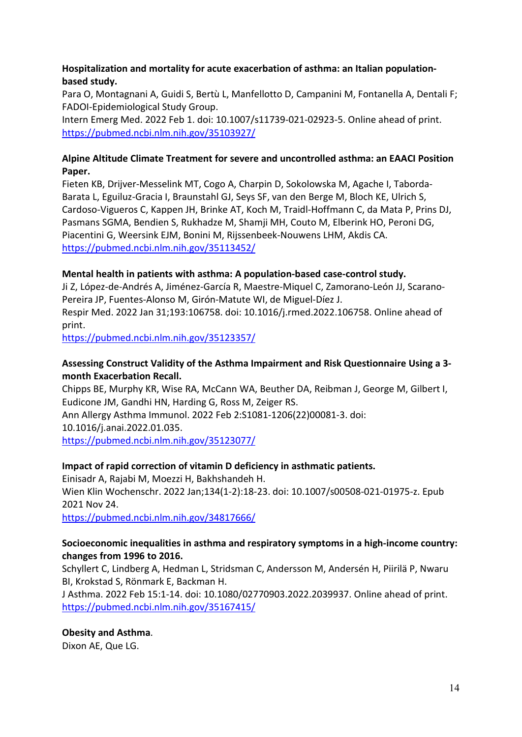#### **Hospitalization and mortality for acute exacerbation of asthma: an Italian populationbased study.**

Para O, Montagnani A, Guidi S, Bertù L, Manfellotto D, Campanini M, Fontanella A, Dentali F; FADOI-Epidemiological Study Group.

Intern Emerg Med. 2022 Feb 1. doi: 10.1007/s11739-021-02923-5. Online ahead of print. <https://pubmed.ncbi.nlm.nih.gov/35103927/>

### **Alpine Altitude Climate Treatment for severe and uncontrolled asthma: an EAACI Position Paper.**

Fieten KB, Drijver-Messelink MT, Cogo A, Charpin D, Sokolowska M, Agache I, Taborda-Barata L, Eguiluz-Gracia I, Braunstahl GJ, Seys SF, van den Berge M, Bloch KE, Ulrich S, Cardoso-Vigueros C, Kappen JH, Brinke AT, Koch M, Traidl-Hoffmann C, da Mata P, Prins DJ, Pasmans SGMA, Bendien S, Rukhadze M, Shamji MH, Couto M, Elberink HO, Peroni DG, Piacentini G, Weersink EJM, Bonini M, Rijssenbeek-Nouwens LHM, Akdis CA. <https://pubmed.ncbi.nlm.nih.gov/35113452/>

#### **Mental health in patients with asthma: A population-based case-control study.**

Ji Z, López-de-Andrés A, Jiménez-García R, Maestre-Miquel C, Zamorano-León JJ, Scarano-Pereira JP, Fuentes-Alonso M, Girón-Matute WI, de Miguel-Díez J.

Respir Med. 2022 Jan 31;193:106758. doi: 10.1016/j.rmed.2022.106758. Online ahead of print.

<https://pubmed.ncbi.nlm.nih.gov/35123357/>

# **Assessing Construct Validity of the Asthma Impairment and Risk Questionnaire Using a 3 month Exacerbation Recall.**

Chipps BE, Murphy KR, Wise RA, McCann WA, Beuther DA, Reibman J, George M, Gilbert I, Eudicone JM, Gandhi HN, Harding G, Ross M, Zeiger RS.

Ann Allergy Asthma Immunol. 2022 Feb 2:S1081-1206(22)00081-3. doi:

10.1016/j.anai.2022.01.035.

<https://pubmed.ncbi.nlm.nih.gov/35123077/>

#### **Impact of rapid correction of vitamin D deficiency in asthmatic patients.**

Einisadr A, Rajabi M, Moezzi H, Bakhshandeh H. Wien Klin Wochenschr. 2022 Jan;134(1-2):18-23. doi: 10.1007/s00508-021-01975-z. Epub 2021 Nov 24.

<https://pubmed.ncbi.nlm.nih.gov/34817666/>

#### **Socioeconomic inequalities in asthma and respiratory symptoms in a high-income country: changes from 1996 to 2016.**

Schyllert C, Lindberg A, Hedman L, Stridsman C, Andersson M, Andersén H, Piirilä P, Nwaru BI, Krokstad S, Rönmark E, Backman H.

J Asthma. 2022 Feb 15:1-14. doi: 10.1080/02770903.2022.2039937. Online ahead of print. <https://pubmed.ncbi.nlm.nih.gov/35167415/>

#### **Obesity and Asthma**.

Dixon AE, Que LG.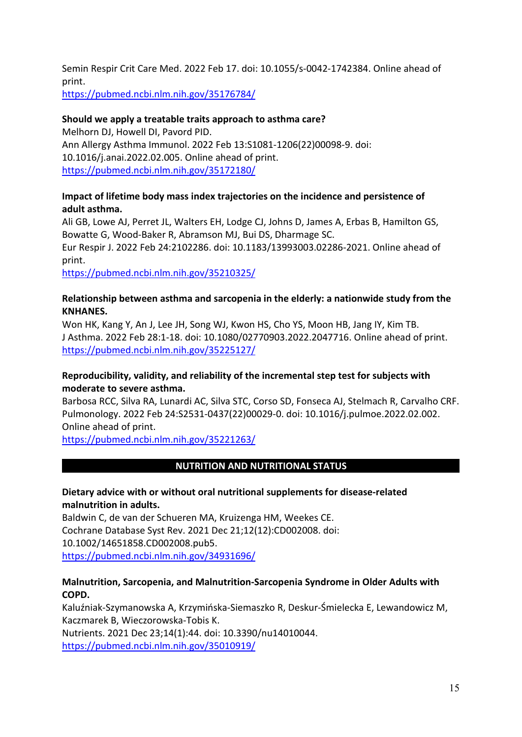Semin Respir Crit Care Med. 2022 Feb 17. doi: 10.1055/s-0042-1742384. Online ahead of print.

<https://pubmed.ncbi.nlm.nih.gov/35176784/>

# **Should we apply a treatable traits approach to asthma care?**

Melhorn DJ, Howell DI, Pavord PID. Ann Allergy Asthma Immunol. 2022 Feb 13:S1081-1206(22)00098-9. doi: 10.1016/j.anai.2022.02.005. Online ahead of print. <https://pubmed.ncbi.nlm.nih.gov/35172180/>

#### **Impact of lifetime body mass index trajectories on the incidence and persistence of adult asthma.**

Ali GB, Lowe AJ, Perret JL, Walters EH, Lodge CJ, Johns D, James A, Erbas B, Hamilton GS, Bowatte G, Wood-Baker R, Abramson MJ, Bui DS, Dharmage SC. Eur Respir J. 2022 Feb 24:2102286. doi: 10.1183/13993003.02286-2021. Online ahead of print.

<https://pubmed.ncbi.nlm.nih.gov/35210325/>

#### **Relationship between asthma and sarcopenia in the elderly: a nationwide study from the KNHANES.**

Won HK, Kang Y, An J, Lee JH, Song WJ, Kwon HS, Cho YS, Moon HB, Jang IY, Kim TB. J Asthma. 2022 Feb 28:1-18. doi: 10.1080/02770903.2022.2047716. Online ahead of print. <https://pubmed.ncbi.nlm.nih.gov/35225127/>

#### **Reproducibility, validity, and reliability of the incremental step test for subjects with moderate to severe asthma.**

Barbosa RCC, Silva RA, Lunardi AC, Silva STC, Corso SD, Fonseca AJ, Stelmach R, Carvalho CRF. Pulmonology. 2022 Feb 24:S2531-0437(22)00029-0. doi: 10.1016/j.pulmoe.2022.02.002. Online ahead of print.

<https://pubmed.ncbi.nlm.nih.gov/35221263/>

#### **NUTRITION AND NUTRITIONAL STATUS**

#### **Dietary advice with or without oral nutritional supplements for disease-related malnutrition in adults.**

Baldwin C, de van der Schueren MA, Kruizenga HM, Weekes CE. Cochrane Database Syst Rev. 2021 Dec 21;12(12):CD002008. doi: 10.1002/14651858.CD002008.pub5. <https://pubmed.ncbi.nlm.nih.gov/34931696/>

#### **Malnutrition, Sarcopenia, and Malnutrition-Sarcopenia Syndrome in Older Adults with COPD.**

Kaluźniak-Szymanowska A, Krzymińska-Siemaszko R, Deskur-Śmielecka E, Lewandowicz M, Kaczmarek B, Wieczorowska-Tobis K.

Nutrients. 2021 Dec 23;14(1):44. doi: 10.3390/nu14010044. <https://pubmed.ncbi.nlm.nih.gov/35010919/>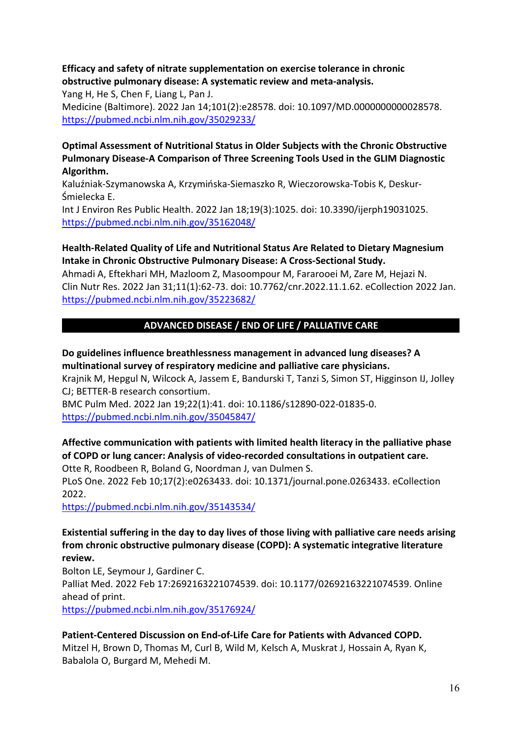#### **Efficacy and safety of nitrate supplementation on exercise tolerance in chronic obstructive pulmonary disease: A systematic review and meta-analysis.**

Yang H, He S, Chen F, Liang L, Pan J.

Medicine (Baltimore). 2022 Jan 14;101(2):e28578. doi: 10.1097/MD.0000000000028578. <https://pubmed.ncbi.nlm.nih.gov/35029233/>

### **Optimal Assessment of Nutritional Status in Older Subjects with the Chronic Obstructive Pulmonary Disease-A Comparison of Three Screening Tools Used in the GLIM Diagnostic Algorithm.**

Kaluźniak-Szymanowska A, Krzymińska-Siemaszko R, Wieczorowska-Tobis K, Deskur-Śmielecka E.

Int J Environ Res Public Health. 2022 Jan 18;19(3):1025. doi: 10.3390/ijerph19031025. <https://pubmed.ncbi.nlm.nih.gov/35162048/>

# **Health-Related Quality of Life and Nutritional Status Are Related to Dietary Magnesium Intake in Chronic Obstructive Pulmonary Disease: A Cross-Sectional Study.**

Ahmadi A, Eftekhari MH, Mazloom Z, Masoompour M, Fararooei M, Zare M, Hejazi N. Clin Nutr Res. 2022 Jan 31;11(1):62-73. doi: 10.7762/cnr.2022.11.1.62. eCollection 2022 Jan. <https://pubmed.ncbi.nlm.nih.gov/35223682/>

# **ADVANCED DISEASE / END OF LIFE / PALLIATIVE CARE**

#### **Do guidelines influence breathlessness management in advanced lung diseases? A multinational survey of respiratory medicine and palliative care physicians.**

Krajnik M, Hepgul N, Wilcock A, Jassem E, Bandurski T, Tanzi S, Simon ST, Higginson IJ, Jolley CJ; BETTER-B research consortium.

BMC Pulm Med. 2022 Jan 19;22(1):41. doi: 10.1186/s12890-022-01835-0. <https://pubmed.ncbi.nlm.nih.gov/35045847/>

# **Affective communication with patients with limited health literacy in the palliative phase of COPD or lung cancer: Analysis of video-recorded consultations in outpatient care.**

Otte R, Roodbeen R, Boland G, Noordman J, van Dulmen S.

PLoS One. 2022 Feb 10;17(2):e0263433. doi: 10.1371/journal.pone.0263433. eCollection 2022.

<https://pubmed.ncbi.nlm.nih.gov/35143534/>

#### **Existential suffering in the day to day lives of those living with palliative care needs arising from chronic obstructive pulmonary disease (COPD): A systematic integrative literature review.**

Bolton LE, Seymour J, Gardiner C. Palliat Med. 2022 Feb 17:2692163221074539. doi: 10.1177/02692163221074539. Online ahead of print.

<https://pubmed.ncbi.nlm.nih.gov/35176924/>

#### **Patient-Centered Discussion on End-of-Life Care for Patients with Advanced COPD.**

Mitzel H, Brown D, Thomas M, Curl B, Wild M, Kelsch A, Muskrat J, Hossain A, Ryan K, Babalola O, Burgard M, Mehedi M.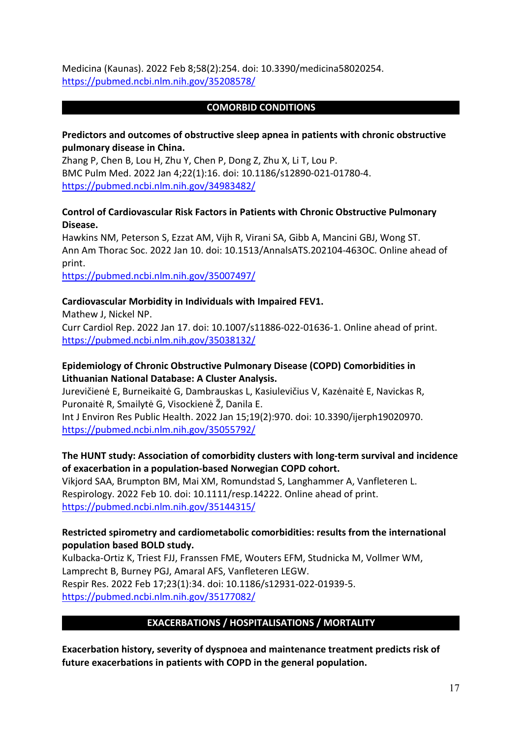Medicina (Kaunas). 2022 Feb 8;58(2):254. doi: 10.3390/medicina58020254. <https://pubmed.ncbi.nlm.nih.gov/35208578/>

#### **COMORBID CONDITIONS**

#### **Predictors and outcomes of obstructive sleep apnea in patients with chronic obstructive pulmonary disease in China.**

Zhang P, Chen B, Lou H, Zhu Y, Chen P, Dong Z, Zhu X, Li T, Lou P. BMC Pulm Med. 2022 Jan 4;22(1):16. doi: 10.1186/s12890-021-01780-4. <https://pubmed.ncbi.nlm.nih.gov/34983482/>

#### **Control of Cardiovascular Risk Factors in Patients with Chronic Obstructive Pulmonary Disease.**

Hawkins NM, Peterson S, Ezzat AM, Vijh R, Virani SA, Gibb A, Mancini GBJ, Wong ST. Ann Am Thorac Soc. 2022 Jan 10. doi: 10.1513/AnnalsATS.202104-463OC. Online ahead of print.

<https://pubmed.ncbi.nlm.nih.gov/35007497/>

#### **Cardiovascular Morbidity in Individuals with Impaired FEV1.**

Mathew J, Nickel NP.

Curr Cardiol Rep. 2022 Jan 17. doi: 10.1007/s11886-022-01636-1. Online ahead of print. <https://pubmed.ncbi.nlm.nih.gov/35038132/>

### **Epidemiology of Chronic Obstructive Pulmonary Disease (COPD) Comorbidities in Lithuanian National Database: A Cluster Analysis.**

Jurevičienė E, Burneikaitė G, Dambrauskas L, Kasiulevičius V, Kazėnaitė E, Navickas R, Puronaitė R, Smailytė G, Visockienė Ž, Danila E.

Int J Environ Res Public Health. 2022 Jan 15;19(2):970. doi: 10.3390/ijerph19020970. <https://pubmed.ncbi.nlm.nih.gov/35055792/>

# **The HUNT study: Association of comorbidity clusters with long-term survival and incidence of exacerbation in a population-based Norwegian COPD cohort.**

Vikjord SAA, Brumpton BM, Mai XM, Romundstad S, Langhammer A, Vanfleteren L. Respirology. 2022 Feb 10. doi: 10.1111/resp.14222. Online ahead of print. <https://pubmed.ncbi.nlm.nih.gov/35144315/>

#### **Restricted spirometry and cardiometabolic comorbidities: results from the international population based BOLD study.**

Kulbacka-Ortiz K, Triest FJJ, Franssen FME, Wouters EFM, Studnicka M, Vollmer WM, Lamprecht B, Burney PGJ, Amaral AFS, Vanfleteren LEGW. Respir Res. 2022 Feb 17;23(1):34. doi: 10.1186/s12931-022-01939-5. <https://pubmed.ncbi.nlm.nih.gov/35177082/>

#### **EXACERBATIONS / HOSPITALISATIONS / MORTALITY**

**Exacerbation history, severity of dyspnoea and maintenance treatment predicts risk of future exacerbations in patients with COPD in the general population.**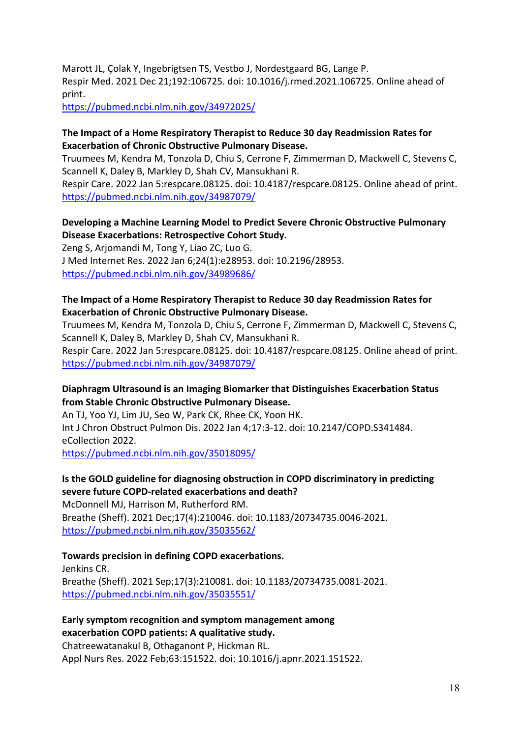Marott JL, Çolak Y, Ingebrigtsen TS, Vestbo J, Nordestgaard BG, Lange P. Respir Med. 2021 Dec 21;192:106725. doi: 10.1016/j.rmed.2021.106725. Online ahead of print.

<https://pubmed.ncbi.nlm.nih.gov/34972025/>

# **The Impact of a Home Respiratory Therapist to Reduce 30 day Readmission Rates for Exacerbation of Chronic Obstructive Pulmonary Disease.**

Truumees M, Kendra M, Tonzola D, Chiu S, Cerrone F, Zimmerman D, Mackwell C, Stevens C, Scannell K, Daley B, Markley D, Shah CV, Mansukhani R.

Respir Care. 2022 Jan 5:respcare.08125. doi: 10.4187/respcare.08125. Online ahead of print. <https://pubmed.ncbi.nlm.nih.gov/34987079/>

# **Developing a Machine Learning Model to Predict Severe Chronic Obstructive Pulmonary Disease Exacerbations: Retrospective Cohort Study.**

Zeng S, Arjomandi M, Tong Y, Liao ZC, Luo G. J Med Internet Res. 2022 Jan 6;24(1):e28953. doi: 10.2196/28953. <https://pubmed.ncbi.nlm.nih.gov/34989686/>

# **The Impact of a Home Respiratory Therapist to Reduce 30 day Readmission Rates for Exacerbation of Chronic Obstructive Pulmonary Disease.**

Truumees M, Kendra M, Tonzola D, Chiu S, Cerrone F, Zimmerman D, Mackwell C, Stevens C, Scannell K, Daley B, Markley D, Shah CV, Mansukhani R. Respir Care. 2022 Jan 5:respcare.08125. doi: 10.4187/respcare.08125. Online ahead of print. <https://pubmed.ncbi.nlm.nih.gov/34987079/>

# **Diaphragm Ultrasound is an Imaging Biomarker that Distinguishes Exacerbation Status from Stable Chronic Obstructive Pulmonary Disease.**

An TJ, Yoo YJ, Lim JU, Seo W, Park CK, Rhee CK, Yoon HK. Int J Chron Obstruct Pulmon Dis. 2022 Jan 4;17:3-12. doi: 10.2147/COPD.S341484. eCollection 2022.

<https://pubmed.ncbi.nlm.nih.gov/35018095/>

# **Is the GOLD guideline for diagnosing obstruction in COPD discriminatory in predicting severe future COPD-related exacerbations and death?**

McDonnell MJ, Harrison M, Rutherford RM. Breathe (Sheff). 2021 Dec;17(4):210046. doi: 10.1183/20734735.0046-2021. <https://pubmed.ncbi.nlm.nih.gov/35035562/>

# **Towards precision in defining COPD exacerbations.**

Jenkins CR. Breathe (Sheff). 2021 Sep;17(3):210081. doi: 10.1183/20734735.0081-2021. <https://pubmed.ncbi.nlm.nih.gov/35035551/>

# **Early symptom recognition and symptom management among exacerbation COPD patients: A qualitative study.**

Chatreewatanakul B, Othaganont P, Hickman RL. Appl Nurs Res. 2022 Feb;63:151522. doi: 10.1016/j.apnr.2021.151522.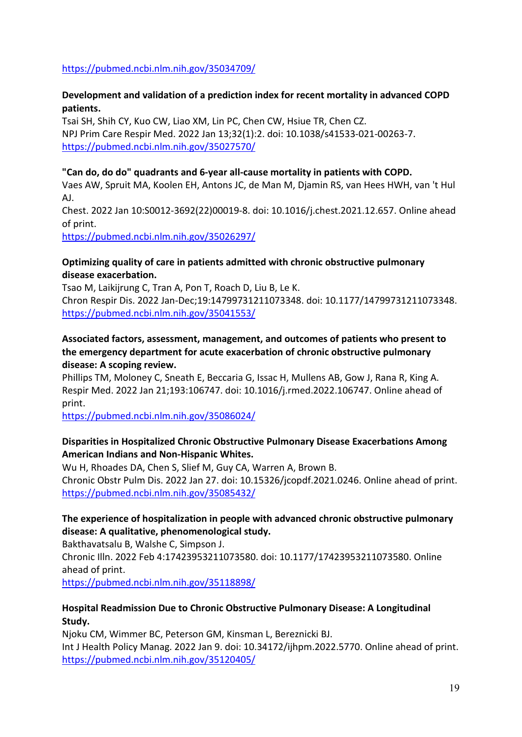<https://pubmed.ncbi.nlm.nih.gov/35034709/>

### **Development and validation of a prediction index for recent mortality in advanced COPD patients.**

Tsai SH, Shih CY, Kuo CW, Liao XM, Lin PC, Chen CW, Hsiue TR, Chen CZ. NPJ Prim Care Respir Med. 2022 Jan 13;32(1):2. doi: 10.1038/s41533-021-00263-7. <https://pubmed.ncbi.nlm.nih.gov/35027570/>

#### **"Can do, do do" quadrants and 6-year all-cause mortality in patients with COPD.**

Vaes AW, Spruit MA, Koolen EH, Antons JC, de Man M, Djamin RS, van Hees HWH, van 't Hul AJ.

Chest. 2022 Jan 10:S0012-3692(22)00019-8. doi: 10.1016/j.chest.2021.12.657. Online ahead of print.

<https://pubmed.ncbi.nlm.nih.gov/35026297/>

#### **Optimizing quality of care in patients admitted with chronic obstructive pulmonary disease exacerbation.**

Tsao M, Laikijrung C, Tran A, Pon T, Roach D, Liu B, Le K. Chron Respir Dis. 2022 Jan-Dec;19:14799731211073348. doi: 10.1177/14799731211073348. <https://pubmed.ncbi.nlm.nih.gov/35041553/>

#### **Associated factors, assessment, management, and outcomes of patients who present to the emergency department for acute exacerbation of chronic obstructive pulmonary disease: A scoping review.**

Phillips TM, Moloney C, Sneath E, Beccaria G, Issac H, Mullens AB, Gow J, Rana R, King A. Respir Med. 2022 Jan 21;193:106747. doi: 10.1016/j.rmed.2022.106747. Online ahead of print.

<https://pubmed.ncbi.nlm.nih.gov/35086024/>

#### **Disparities in Hospitalized Chronic Obstructive Pulmonary Disease Exacerbations Among American Indians and Non-Hispanic Whites.**

Wu H, Rhoades DA, Chen S, Slief M, Guy CA, Warren A, Brown B. Chronic Obstr Pulm Dis. 2022 Jan 27. doi: 10.15326/jcopdf.2021.0246. Online ahead of print. <https://pubmed.ncbi.nlm.nih.gov/35085432/>

# **The experience of hospitalization in people with advanced chronic obstructive pulmonary disease: A qualitative, phenomenological study.**

Bakthavatsalu B, Walshe C, Simpson J.

Chronic Illn. 2022 Feb 4:17423953211073580. doi: 10.1177/17423953211073580. Online ahead of print.

<https://pubmed.ncbi.nlm.nih.gov/35118898/>

#### **Hospital Readmission Due to Chronic Obstructive Pulmonary Disease: A Longitudinal Study.**

Njoku CM, Wimmer BC, Peterson GM, Kinsman L, Bereznicki BJ. Int J Health Policy Manag. 2022 Jan 9. doi: 10.34172/ijhpm.2022.5770. Online ahead of print. <https://pubmed.ncbi.nlm.nih.gov/35120405/>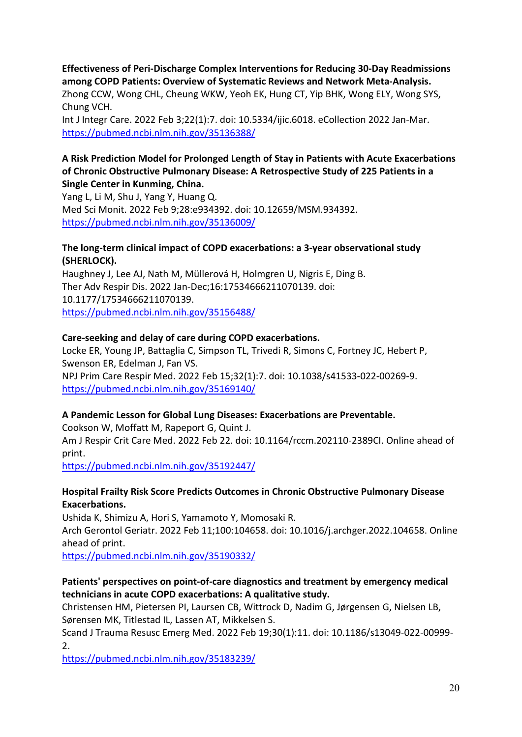**Effectiveness of Peri-Discharge Complex Interventions for Reducing 30-Day Readmissions among COPD Patients: Overview of Systematic Reviews and Network Meta-Analysis.**

Zhong CCW, Wong CHL, Cheung WKW, Yeoh EK, Hung CT, Yip BHK, Wong ELY, Wong SYS, Chung VCH.

Int J Integr Care. 2022 Feb 3;22(1):7. doi: 10.5334/ijic.6018. eCollection 2022 Jan-Mar. <https://pubmed.ncbi.nlm.nih.gov/35136388/>

### **A Risk Prediction Model for Prolonged Length of Stay in Patients with Acute Exacerbations of Chronic Obstructive Pulmonary Disease: A Retrospective Study of 225 Patients in a Single Center in Kunming, China.**

Yang L, Li M, Shu J, Yang Y, Huang Q. Med Sci Monit. 2022 Feb 9;28:e934392. doi: 10.12659/MSM.934392. <https://pubmed.ncbi.nlm.nih.gov/35136009/>

### **The long-term clinical impact of COPD exacerbations: a 3-year observational study (SHERLOCK).**

Haughney J, Lee AJ, Nath M, Müllerová H, Holmgren U, Nigris E, Ding B. Ther Adv Respir Dis. 2022 Jan-Dec;16:17534666211070139. doi: 10.1177/17534666211070139. <https://pubmed.ncbi.nlm.nih.gov/35156488/>

#### **Care-seeking and delay of care during COPD exacerbations.**

Locke ER, Young JP, Battaglia C, Simpson TL, Trivedi R, Simons C, Fortney JC, Hebert P, Swenson ER, Edelman J, Fan VS. NPJ Prim Care Respir Med. 2022 Feb 15;32(1):7. doi: 10.1038/s41533-022-00269-9. <https://pubmed.ncbi.nlm.nih.gov/35169140/>

#### **A Pandemic Lesson for Global Lung Diseases: Exacerbations are Preventable.**

Cookson W, Moffatt M, Rapeport G, Quint J.

Am J Respir Crit Care Med. 2022 Feb 22. doi: 10.1164/rccm.202110-2389CI. Online ahead of print.

<https://pubmed.ncbi.nlm.nih.gov/35192447/>

#### **Hospital Frailty Risk Score Predicts Outcomes in Chronic Obstructive Pulmonary Disease Exacerbations.**

Ushida K, Shimizu A, Hori S, Yamamoto Y, Momosaki R. Arch Gerontol Geriatr. 2022 Feb 11;100:104658. doi: 10.1016/j.archger.2022.104658. Online ahead of print.

<https://pubmed.ncbi.nlm.nih.gov/35190332/>

# **Patients' perspectives on point-of-care diagnostics and treatment by emergency medical technicians in acute COPD exacerbations: A qualitative study.**

Christensen HM, Pietersen PI, Laursen CB, Wittrock D, Nadim G, Jørgensen G, Nielsen LB, Sørensen MK, Titlestad IL, Lassen AT, Mikkelsen S.

Scand J Trauma Resusc Emerg Med. 2022 Feb 19;30(1):11. doi: 10.1186/s13049-022-00999- 2.

<https://pubmed.ncbi.nlm.nih.gov/35183239/>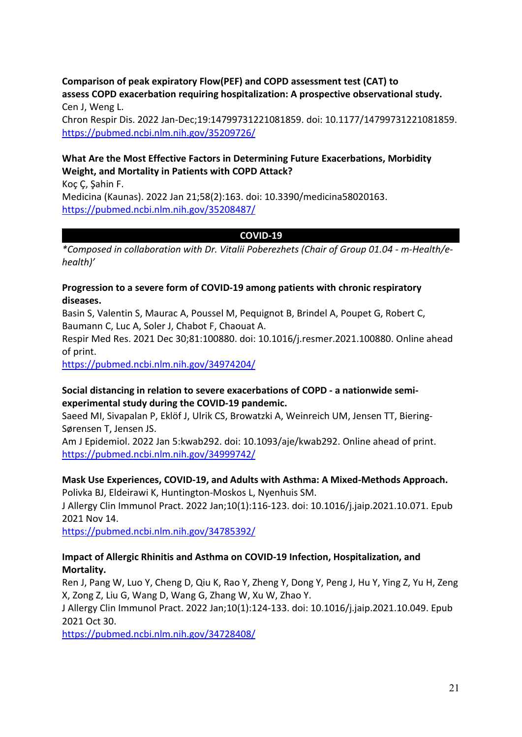**Comparison of peak expiratory Flow(PEF) and COPD assessment test (CAT) to assess COPD exacerbation requiring hospitalization: A prospective observational study.** Cen J, Weng L.

Chron Respir Dis. 2022 Jan-Dec;19:14799731221081859. doi: 10.1177/14799731221081859. <https://pubmed.ncbi.nlm.nih.gov/35209726/>

### **What Are the Most Effective Factors in Determining Future Exacerbations, Morbidity Weight, and Mortality in Patients with COPD Attack?**

Koç Ç, Şahin F. Medicina (Kaunas). 2022 Jan 21;58(2):163. doi: 10.3390/medicina58020163. <https://pubmed.ncbi.nlm.nih.gov/35208487/>

#### **COVID-19**

*\*Composed in collaboration with Dr. Vitalii Poberezhets (Chair of Group 01.04 - m-Health/ehealth)'* 

#### **Progression to a severe form of COVID-19 among patients with chronic respiratory diseases.**

Basin S, Valentin S, Maurac A, Poussel M, Pequignot B, Brindel A, Poupet G, Robert C, Baumann C, Luc A, Soler J, Chabot F, Chaouat A.

Respir Med Res. 2021 Dec 30;81:100880. doi: 10.1016/j.resmer.2021.100880. Online ahead of print.

<https://pubmed.ncbi.nlm.nih.gov/34974204/>

#### **Social distancing in relation to severe exacerbations of COPD - a nationwide semiexperimental study during the COVID-19 pandemic.**

Saeed MI, Sivapalan P, Eklöf J, Ulrik CS, Browatzki A, Weinreich UM, Jensen TT, Biering-Sørensen T, Jensen JS.

Am J Epidemiol. 2022 Jan 5:kwab292. doi: 10.1093/aje/kwab292. Online ahead of print. <https://pubmed.ncbi.nlm.nih.gov/34999742/>

# **Mask Use Experiences, COVID-19, and Adults with Asthma: A Mixed-Methods Approach.**

Polivka BJ, Eldeirawi K, Huntington-Moskos L, Nyenhuis SM.

J Allergy Clin Immunol Pract. 2022 Jan;10(1):116-123. doi: 10.1016/j.jaip.2021.10.071. Epub 2021 Nov 14.

<https://pubmed.ncbi.nlm.nih.gov/34785392/>

#### **Impact of Allergic Rhinitis and Asthma on COVID-19 Infection, Hospitalization, and Mortality.**

Ren J, Pang W, Luo Y, Cheng D, Qiu K, Rao Y, Zheng Y, Dong Y, Peng J, Hu Y, Ying Z, Yu H, Zeng X, Zong Z, Liu G, Wang D, Wang G, Zhang W, Xu W, Zhao Y.

J Allergy Clin Immunol Pract. 2022 Jan;10(1):124-133. doi: 10.1016/j.jaip.2021.10.049. Epub 2021 Oct 30.

<https://pubmed.ncbi.nlm.nih.gov/34728408/>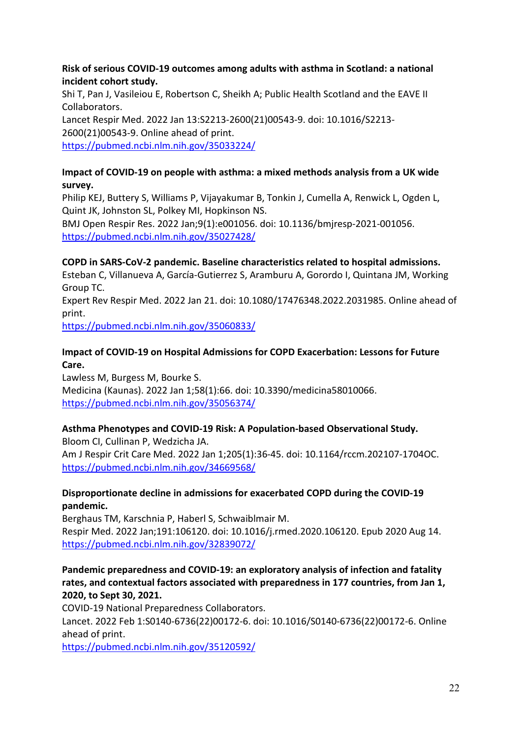#### **Risk of serious COVID-19 outcomes among adults with asthma in Scotland: a national incident cohort study.**

Shi T, Pan J, Vasileiou E, Robertson C, Sheikh A; Public Health Scotland and the EAVE II Collaborators. Lancet Respir Med. 2022 Jan 13:S2213-2600(21)00543-9. doi: 10.1016/S2213- 2600(21)00543-9. Online ahead of print. <https://pubmed.ncbi.nlm.nih.gov/35033224/>

#### **Impact of COVID-19 on people with asthma: a mixed methods analysis from a UK wide survey.**

Philip KEJ, Buttery S, Williams P, Vijayakumar B, Tonkin J, Cumella A, Renwick L, Ogden L, Quint JK, Johnston SL, Polkey MI, Hopkinson NS. BMJ Open Respir Res. 2022 Jan;9(1):e001056. doi: 10.1136/bmjresp-2021-001056.

<https://pubmed.ncbi.nlm.nih.gov/35027428/>

# **COPD in SARS-CoV-2 pandemic. Baseline characteristics related to hospital admissions.**

Esteban C, Villanueva A, García-Gutierrez S, Aramburu A, Gorordo I, Quintana JM, Working Group TC.

Expert Rev Respir Med. 2022 Jan 21. doi: 10.1080/17476348.2022.2031985. Online ahead of print.

<https://pubmed.ncbi.nlm.nih.gov/35060833/>

# **Impact of COVID-19 on Hospital Admissions for COPD Exacerbation: Lessons for Future Care.**

Lawless M, Burgess M, Bourke S. Medicina (Kaunas). 2022 Jan 1;58(1):66. doi: 10.3390/medicina58010066. <https://pubmed.ncbi.nlm.nih.gov/35056374/>

# **Asthma Phenotypes and COVID-19 Risk: A Population-based Observational Study.**

Bloom CI, Cullinan P, Wedzicha JA. Am J Respir Crit Care Med. 2022 Jan 1;205(1):36-45. doi: 10.1164/rccm.202107-1704OC. <https://pubmed.ncbi.nlm.nih.gov/34669568/>

# **Disproportionate decline in admissions for exacerbated COPD during the COVID-19 pandemic.**

Berghaus TM, Karschnia P, Haberl S, Schwaiblmair M. Respir Med. 2022 Jan;191:106120. doi: 10.1016/j.rmed.2020.106120. Epub 2020 Aug 14. <https://pubmed.ncbi.nlm.nih.gov/32839072/>

# **Pandemic preparedness and COVID-19: an exploratory analysis of infection and fatality rates, and contextual factors associated with preparedness in 177 countries, from Jan 1, 2020, to Sept 30, 2021.**

COVID-19 National Preparedness Collaborators. Lancet. 2022 Feb 1:S0140-6736(22)00172-6. doi: 10.1016/S0140-6736(22)00172-6. Online ahead of print.

<https://pubmed.ncbi.nlm.nih.gov/35120592/>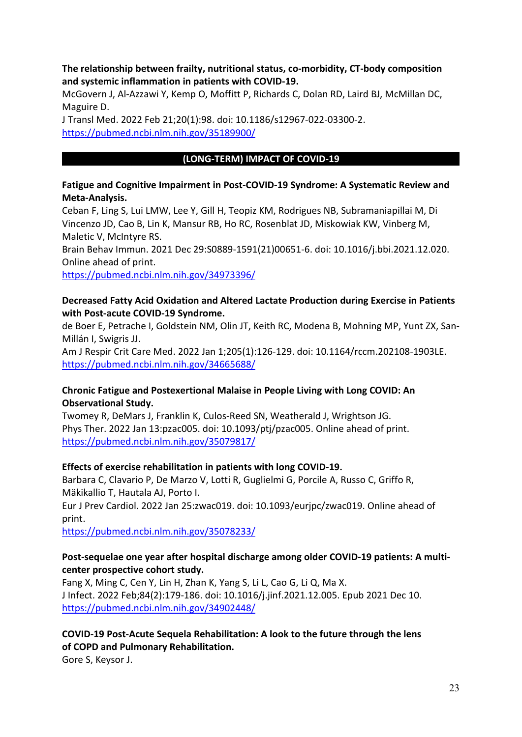#### **The relationship between frailty, nutritional status, co-morbidity, CT-body composition and systemic inflammation in patients with COVID-19.**

McGovern J, Al-Azzawi Y, Kemp O, Moffitt P, Richards C, Dolan RD, Laird BJ, McMillan DC, Maguire D.

J Transl Med. 2022 Feb 21;20(1):98. doi: 10.1186/s12967-022-03300-2. <https://pubmed.ncbi.nlm.nih.gov/35189900/>

# **(LONG-TERM) IMPACT OF COVID-19**

#### **Fatigue and Cognitive Impairment in Post-COVID-19 Syndrome: A Systematic Review and Meta-Analysis.**

Ceban F, Ling S, Lui LMW, Lee Y, Gill H, Teopiz KM, Rodrigues NB, Subramaniapillai M, Di Vincenzo JD, Cao B, Lin K, Mansur RB, Ho RC, Rosenblat JD, Miskowiak KW, Vinberg M, Maletic V, McIntyre RS.

Brain Behav Immun. 2021 Dec 29:S0889-1591(21)00651-6. doi: 10.1016/j.bbi.2021.12.020. Online ahead of print.

<https://pubmed.ncbi.nlm.nih.gov/34973396/>

#### **Decreased Fatty Acid Oxidation and Altered Lactate Production during Exercise in Patients with Post-acute COVID-19 Syndrome.**

de Boer E, Petrache I, Goldstein NM, Olin JT, Keith RC, Modena B, Mohning MP, Yunt ZX, San-Millán I, Swigris JJ.

Am J Respir Crit Care Med. 2022 Jan 1;205(1):126-129. doi: 10.1164/rccm.202108-1903LE. <https://pubmed.ncbi.nlm.nih.gov/34665688/>

#### **Chronic Fatigue and Postexertional Malaise in People Living with Long COVID: An Observational Study.**

Twomey R, DeMars J, Franklin K, Culos-Reed SN, Weatherald J, Wrightson JG. Phys Ther. 2022 Jan 13:pzac005. doi: 10.1093/ptj/pzac005. Online ahead of print. <https://pubmed.ncbi.nlm.nih.gov/35079817/>

#### **Effects of exercise rehabilitation in patients with long COVID-19.**

Barbara C, Clavario P, De Marzo V, Lotti R, Guglielmi G, Porcile A, Russo C, Griffo R, Mäkikallio T, Hautala AJ, Porto I.

Eur J Prev Cardiol. 2022 Jan 25:zwac019. doi: 10.1093/eurjpc/zwac019. Online ahead of print.

<https://pubmed.ncbi.nlm.nih.gov/35078233/>

# **Post-sequelae one year after hospital discharge among older COVID-19 patients: A multicenter prospective cohort study.**

Fang X, Ming C, Cen Y, Lin H, Zhan K, Yang S, Li L, Cao G, Li Q, Ma X. J Infect. 2022 Feb;84(2):179-186. doi: 10.1016/j.jinf.2021.12.005. Epub 2021 Dec 10. <https://pubmed.ncbi.nlm.nih.gov/34902448/>

**COVID-19 Post-Acute Sequela Rehabilitation: A look to the future through the lens of COPD and Pulmonary Rehabilitation.**

Gore S, Keysor J.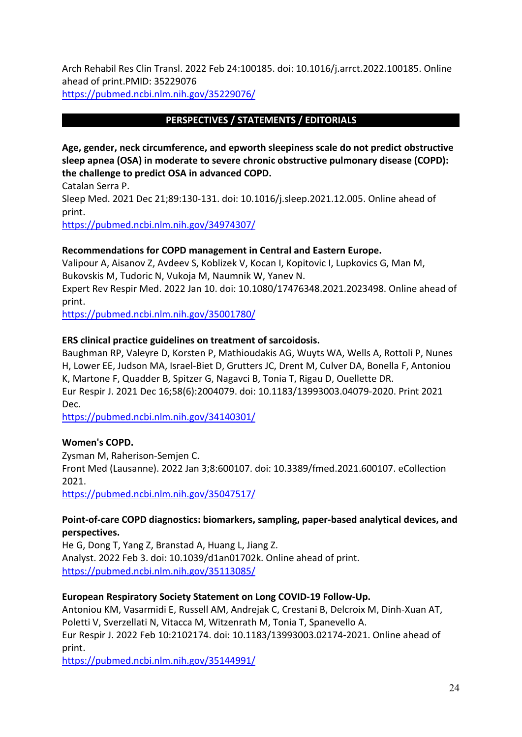Arch Rehabil Res Clin Transl. 2022 Feb 24:100185. doi: 10.1016/j.arrct.2022.100185. Online ahead of print.PMID: 35229076 <https://pubmed.ncbi.nlm.nih.gov/35229076/>

# **PERSPECTIVES / STATEMENTS / EDITORIALS**

**Age, gender, neck circumference, and epworth sleepiness scale do not predict obstructive sleep apnea (OSA) in moderate to severe chronic obstructive pulmonary disease (COPD): the challenge to predict OSA in advanced COPD.** 

Catalan Serra P.

Sleep Med. 2021 Dec 21;89:130-131. doi: 10.1016/j.sleep.2021.12.005. Online ahead of print.

<https://pubmed.ncbi.nlm.nih.gov/34974307/>

#### **Recommendations for COPD management in Central and Eastern Europe.**

Valipour A, Aisanov Z, Avdeev S, Koblizek V, Kocan I, Kopitovic I, Lupkovics G, Man M, Bukovskis M, Tudoric N, Vukoja M, Naumnik W, Yanev N.

Expert Rev Respir Med. 2022 Jan 10. doi: 10.1080/17476348.2021.2023498. Online ahead of print.

<https://pubmed.ncbi.nlm.nih.gov/35001780/>

#### **ERS clinical practice guidelines on treatment of sarcoidosis.**

Baughman RP, Valeyre D, Korsten P, Mathioudakis AG, Wuyts WA, Wells A, Rottoli P, Nunes H, Lower EE, Judson MA, Israel-Biet D, Grutters JC, Drent M, Culver DA, Bonella F, Antoniou K, Martone F, Quadder B, Spitzer G, Nagavci B, Tonia T, Rigau D, Ouellette DR.

Eur Respir J. 2021 Dec 16;58(6):2004079. doi: 10.1183/13993003.04079-2020. Print 2021 Dec.

<https://pubmed.ncbi.nlm.nih.gov/34140301/>

#### **Women's COPD.**

Zysman M, Raherison-Semjen C. Front Med (Lausanne). 2022 Jan 3;8:600107. doi: 10.3389/fmed.2021.600107. eCollection 2021.

<https://pubmed.ncbi.nlm.nih.gov/35047517/>

#### **Point-of-care COPD diagnostics: biomarkers, sampling, paper-based analytical devices, and perspectives.**

He G, Dong T, Yang Z, Branstad A, Huang L, Jiang Z. Analyst. 2022 Feb 3. doi: 10.1039/d1an01702k. Online ahead of print. <https://pubmed.ncbi.nlm.nih.gov/35113085/>

#### **European Respiratory Society Statement on Long COVID-19 Follow-Up.**

Antoniou KM, Vasarmidi E, Russell AM, Andrejak C, Crestani B, Delcroix M, Dinh-Xuan AT, Poletti V, Sverzellati N, Vitacca M, Witzenrath M, Tonia T, Spanevello A. Eur Respir J. 2022 Feb 10:2102174. doi: 10.1183/13993003.02174-2021. Online ahead of print.

<https://pubmed.ncbi.nlm.nih.gov/35144991/>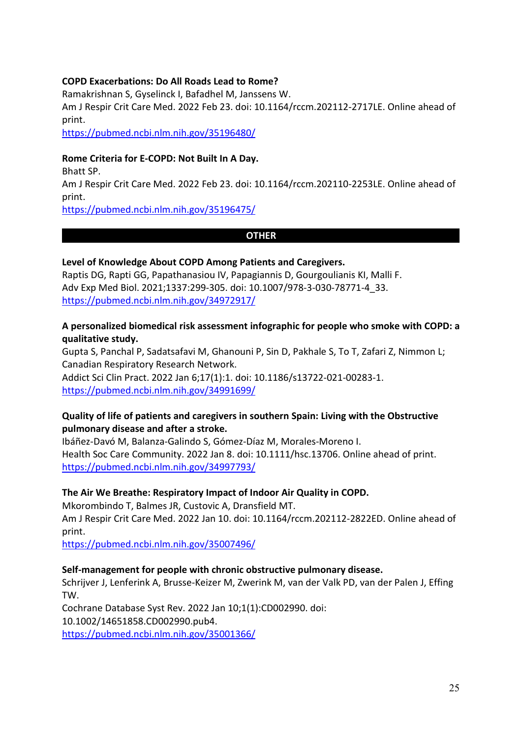#### **COPD Exacerbations: Do All Roads Lead to Rome?**

Ramakrishnan S, Gyselinck I, Bafadhel M, Janssens W.

Am J Respir Crit Care Med. 2022 Feb 23. doi: 10.1164/rccm.202112-2717LE. Online ahead of print.

<https://pubmed.ncbi.nlm.nih.gov/35196480/>

#### **Rome Criteria for E-COPD: Not Built In A Day.**

Bhatt SP.

Am J Respir Crit Care Med. 2022 Feb 23. doi: 10.1164/rccm.202110-2253LE. Online ahead of print.

<https://pubmed.ncbi.nlm.nih.gov/35196475/>

#### **OTHER**

#### **Level of Knowledge About COPD Among Patients and Caregivers.**

Raptis DG, Rapti GG, Papathanasiou IV, Papagiannis D, Gourgoulianis KI, Malli F. Adv Exp Med Biol. 2021;1337:299-305. doi: 10.1007/978-3-030-78771-4\_33. <https://pubmed.ncbi.nlm.nih.gov/34972917/>

### **A personalized biomedical risk assessment infographic for people who smoke with COPD: a qualitative study.**

Gupta S, Panchal P, Sadatsafavi M, Ghanouni P, Sin D, Pakhale S, To T, Zafari Z, Nimmon L; Canadian Respiratory Research Network. Addict Sci Clin Pract. 2022 Jan 6;17(1):1. doi: 10.1186/s13722-021-00283-1. <https://pubmed.ncbi.nlm.nih.gov/34991699/>

#### **Quality of life of patients and caregivers in southern Spain: Living with the Obstructive pulmonary disease and after a stroke.**

Ibáñez-Davó M, Balanza-Galindo S, Gómez-Díaz M, Morales-Moreno I. Health Soc Care Community. 2022 Jan 8. doi: 10.1111/hsc.13706. Online ahead of print. <https://pubmed.ncbi.nlm.nih.gov/34997793/>

#### **The Air We Breathe: Respiratory Impact of Indoor Air Quality in COPD.**

Mkorombindo T, Balmes JR, Custovic A, Dransfield MT.

Am J Respir Crit Care Med. 2022 Jan 10. doi: 10.1164/rccm.202112-2822ED. Online ahead of print.

<https://pubmed.ncbi.nlm.nih.gov/35007496/>

#### **Self-management for people with chronic obstructive pulmonary disease.**

Schrijver J, Lenferink A, Brusse-Keizer M, Zwerink M, van der Valk PD, van der Palen J, Effing TW.

Cochrane Database Syst Rev. 2022 Jan 10;1(1):CD002990. doi:

10.1002/14651858.CD002990.pub4.

<https://pubmed.ncbi.nlm.nih.gov/35001366/>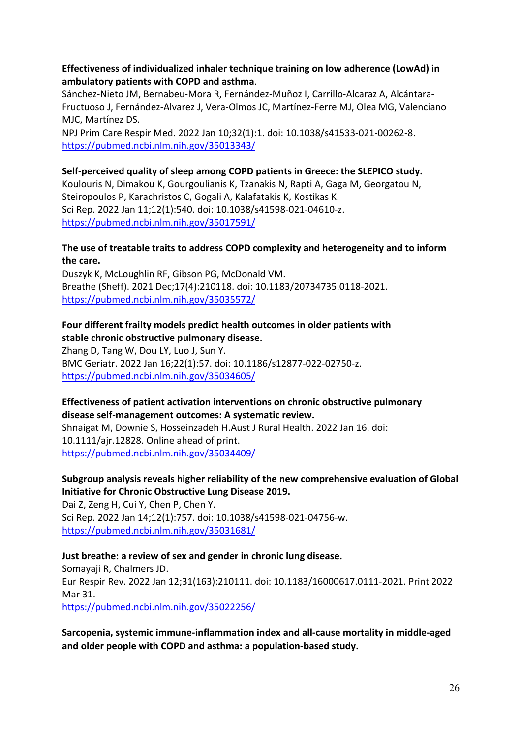**Effectiveness of individualized inhaler technique training on low adherence (LowAd) in ambulatory patients with COPD and asthma**.

Sánchez-Nieto JM, Bernabeu-Mora R, Fernández-Muñoz I, Carrillo-Alcaraz A, Alcántara-Fructuoso J, Fernández-Alvarez J, Vera-Olmos JC, Martínez-Ferre MJ, Olea MG, Valenciano MJC, Martínez DS.

NPJ Prim Care Respir Med. 2022 Jan 10;32(1):1. doi: 10.1038/s41533-021-00262-8. <https://pubmed.ncbi.nlm.nih.gov/35013343/>

#### **Self-perceived quality of sleep among COPD patients in Greece: the SLEPICO study.**

Koulouris N, Dimakou K, Gourgoulianis K, Tzanakis N, Rapti A, Gaga M, Georgatou N, Steiropoulos P, Karachristos C, Gogali A, Kalafatakis K, Kostikas K. Sci Rep. 2022 Jan 11;12(1):540. doi: 10.1038/s41598-021-04610-z. <https://pubmed.ncbi.nlm.nih.gov/35017591/>

### **The use of treatable traits to address COPD complexity and heterogeneity and to inform the care.**

Duszyk K, McLoughlin RF, Gibson PG, McDonald VM. Breathe (Sheff). 2021 Dec;17(4):210118. doi: 10.1183/20734735.0118-2021. <https://pubmed.ncbi.nlm.nih.gov/35035572/>

# **Four different frailty models predict health outcomes in older patients with stable chronic obstructive pulmonary disease.**

Zhang D, Tang W, Dou LY, Luo J, Sun Y. BMC Geriatr. 2022 Jan 16;22(1):57. doi: 10.1186/s12877-022-02750-z. <https://pubmed.ncbi.nlm.nih.gov/35034605/>

#### **Effectiveness of patient activation interventions on chronic obstructive pulmonary disease self-management outcomes: A systematic review.**

Shnaigat M, Downie S, Hosseinzadeh H.Aust J Rural Health. 2022 Jan 16. doi: 10.1111/ajr.12828. Online ahead of print. <https://pubmed.ncbi.nlm.nih.gov/35034409/>

# **Subgroup analysis reveals higher reliability of the new comprehensive evaluation of Global Initiative for Chronic Obstructive Lung Disease 2019.**

Dai Z, Zeng H, Cui Y, Chen P, Chen Y. Sci Rep. 2022 Jan 14;12(1):757. doi: 10.1038/s41598-021-04756-w. <https://pubmed.ncbi.nlm.nih.gov/35031681/>

#### **Just breathe: a review of sex and gender in chronic lung disease.**  Somayaji R, Chalmers JD.

Eur Respir Rev. 2022 Jan 12;31(163):210111. doi: 10.1183/16000617.0111-2021. Print 2022 Mar 31. <https://pubmed.ncbi.nlm.nih.gov/35022256/>

**Sarcopenia, systemic immune-inflammation index and all-cause mortality in middle-aged and older people with COPD and asthma: a population-based study.**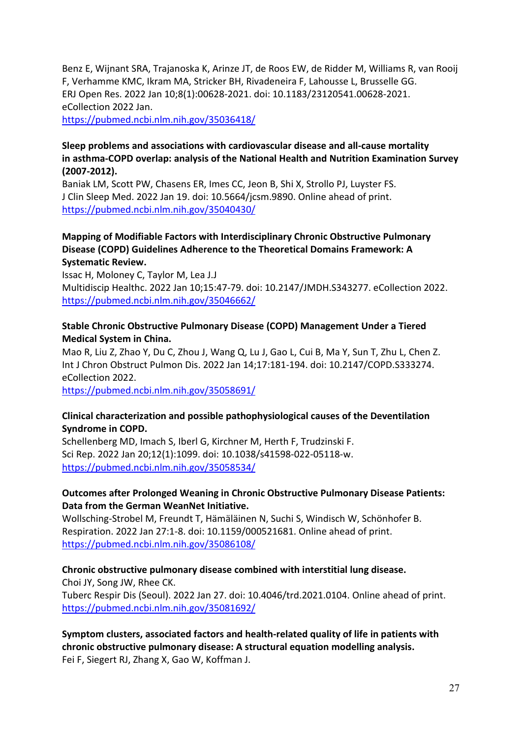Benz E, Wijnant SRA, Trajanoska K, Arinze JT, de Roos EW, de Ridder M, Williams R, van Rooij F, Verhamme KMC, Ikram MA, Stricker BH, Rivadeneira F, Lahousse L, Brusselle GG. ERJ Open Res. 2022 Jan 10;8(1):00628-2021. doi: 10.1183/23120541.00628-2021. eCollection 2022 Jan.

<https://pubmed.ncbi.nlm.nih.gov/35036418/>

# **Sleep problems and associations with cardiovascular disease and all-cause mortality in asthma-COPD overlap: analysis of the National Health and Nutrition Examination Survey (2007-2012).**

Baniak LM, Scott PW, Chasens ER, Imes CC, Jeon B, Shi X, Strollo PJ, Luyster FS. J Clin Sleep Med. 2022 Jan 19. doi: 10.5664/jcsm.9890. Online ahead of print. <https://pubmed.ncbi.nlm.nih.gov/35040430/>

# **Mapping of Modifiable Factors with Interdisciplinary Chronic Obstructive Pulmonary Disease (COPD) Guidelines Adherence to the Theoretical Domains Framework: A Systematic Review.**

Issac H, Moloney C, Taylor M, Lea J.J Multidiscip Healthc. 2022 Jan 10;15:47-79. doi: 10.2147/JMDH.S343277. eCollection 2022. <https://pubmed.ncbi.nlm.nih.gov/35046662/>

### **Stable Chronic Obstructive Pulmonary Disease (COPD) Management Under a Tiered Medical System in China.**

Mao R, Liu Z, Zhao Y, Du C, Zhou J, Wang Q, Lu J, Gao L, Cui B, Ma Y, Sun T, Zhu L, Chen Z. Int J Chron Obstruct Pulmon Dis. 2022 Jan 14;17:181-194. doi: 10.2147/COPD.S333274. eCollection 2022.

<https://pubmed.ncbi.nlm.nih.gov/35058691/>

# **Clinical characterization and possible pathophysiological causes of the Deventilation Syndrome in COPD.**

Schellenberg MD, Imach S, Iberl G, Kirchner M, Herth F, Trudzinski F. Sci Rep. 2022 Jan 20;12(1):1099. doi: 10.1038/s41598-022-05118-w. <https://pubmed.ncbi.nlm.nih.gov/35058534/>

# **Outcomes after Prolonged Weaning in Chronic Obstructive Pulmonary Disease Patients: Data from the German WeanNet Initiative.**

Wollsching-Strobel M, Freundt T, Hämäläinen N, Suchi S, Windisch W, Schönhofer B. Respiration. 2022 Jan 27:1-8. doi: 10.1159/000521681. Online ahead of print. <https://pubmed.ncbi.nlm.nih.gov/35086108/>

#### **Chronic obstructive pulmonary disease combined with interstitial lung disease.** Choi JY, Song JW, Rhee CK.

Tuberc Respir Dis (Seoul). 2022 Jan 27. doi: 10.4046/trd.2021.0104. Online ahead of print. <https://pubmed.ncbi.nlm.nih.gov/35081692/>

**Symptom clusters, associated factors and health-related quality of life in patients with chronic obstructive pulmonary disease: A structural equation modelling analysis.** Fei F, Siegert RJ, Zhang X, Gao W, Koffman J.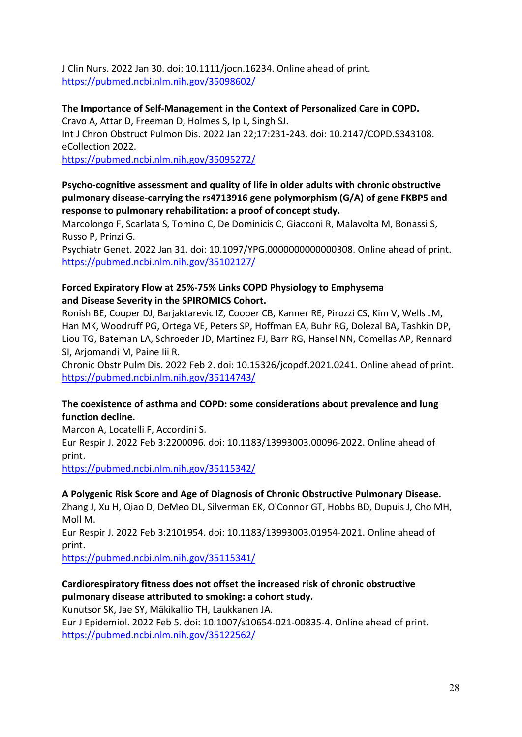J Clin Nurs. 2022 Jan 30. doi: 10.1111/jocn.16234. Online ahead of print. <https://pubmed.ncbi.nlm.nih.gov/35098602/>

#### **The Importance of Self-Management in the Context of Personalized Care in COPD.**

Cravo A, Attar D, Freeman D, Holmes S, Ip L, Singh SJ. Int J Chron Obstruct Pulmon Dis. 2022 Jan 22;17:231-243. doi: 10.2147/COPD.S343108. eCollection 2022. <https://pubmed.ncbi.nlm.nih.gov/35095272/>

### **Psycho-cognitive assessment and quality of life in older adults with chronic obstructive pulmonary disease-carrying the rs4713916 gene polymorphism (G/A) of gene FKBP5 and response to pulmonary rehabilitation: a proof of concept study.**

Marcolongo F, Scarlata S, Tomino C, De Dominicis C, Giacconi R, Malavolta M, Bonassi S, Russo P, Prinzi G.

Psychiatr Genet. 2022 Jan 31. doi: 10.1097/YPG.0000000000000308. Online ahead of print. <https://pubmed.ncbi.nlm.nih.gov/35102127/>

#### **Forced Expiratory Flow at 25%-75% Links COPD Physiology to Emphysema and Disease Severity in the SPIROMICS Cohort.**

Ronish BE, Couper DJ, Barjaktarevic IZ, Cooper CB, Kanner RE, Pirozzi CS, Kim V, Wells JM, Han MK, Woodruff PG, Ortega VE, Peters SP, Hoffman EA, Buhr RG, Dolezal BA, Tashkin DP, Liou TG, Bateman LA, Schroeder JD, Martinez FJ, Barr RG, Hansel NN, Comellas AP, Rennard SI, Arjomandi M, Paine Iii R.

Chronic Obstr Pulm Dis. 2022 Feb 2. doi: 10.15326/jcopdf.2021.0241. Online ahead of print. <https://pubmed.ncbi.nlm.nih.gov/35114743/>

# **The coexistence of asthma and COPD: some considerations about prevalence and lung function decline.**

Marcon A, Locatelli F, Accordini S.

Eur Respir J. 2022 Feb 3:2200096. doi: 10.1183/13993003.00096-2022. Online ahead of print.

<https://pubmed.ncbi.nlm.nih.gov/35115342/>

#### **A Polygenic Risk Score and Age of Diagnosis of Chronic Obstructive Pulmonary Disease.**

Zhang J, Xu H, Qiao D, DeMeo DL, Silverman EK, O'Connor GT, Hobbs BD, Dupuis J, Cho MH, Moll M.

Eur Respir J. 2022 Feb 3:2101954. doi: 10.1183/13993003.01954-2021. Online ahead of print.

<https://pubmed.ncbi.nlm.nih.gov/35115341/>

# **Cardiorespiratory fitness does not offset the increased risk of chronic obstructive pulmonary disease attributed to smoking: a cohort study.**

Kunutsor SK, Jae SY, Mäkikallio TH, Laukkanen JA.

Eur J Epidemiol. 2022 Feb 5. doi: 10.1007/s10654-021-00835-4. Online ahead of print. <https://pubmed.ncbi.nlm.nih.gov/35122562/>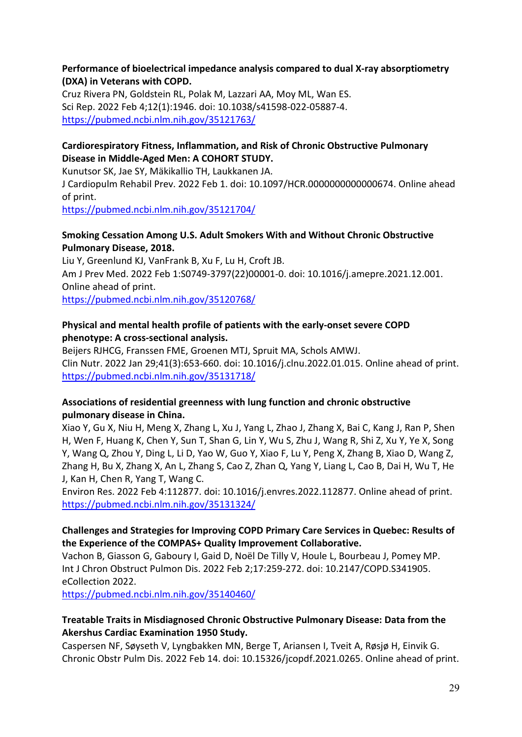#### **Performance of bioelectrical impedance analysis compared to dual X-ray absorptiometry (DXA) in Veterans with COPD.**

Cruz Rivera PN, Goldstein RL, Polak M, Lazzari AA, Moy ML, Wan ES. Sci Rep. 2022 Feb 4;12(1):1946. doi: 10.1038/s41598-022-05887-4. <https://pubmed.ncbi.nlm.nih.gov/35121763/>

#### **Cardiorespiratory Fitness, Inflammation, and Risk of Chronic Obstructive Pulmonary Disease in Middle-Aged Men: A COHORT STUDY.**

Kunutsor SK, Jae SY, Mäkikallio TH, Laukkanen JA.

J Cardiopulm Rehabil Prev. 2022 Feb 1. doi: 10.1097/HCR.0000000000000674. Online ahead of print.

<https://pubmed.ncbi.nlm.nih.gov/35121704/>

### **Smoking Cessation Among U.S. Adult Smokers With and Without Chronic Obstructive Pulmonary Disease, 2018.**

Liu Y, Greenlund KJ, VanFrank B, Xu F, Lu H, Croft JB. Am J Prev Med. 2022 Feb 1:S0749-3797(22)00001-0. doi: 10.1016/j.amepre.2021.12.001. Online ahead of print.

<https://pubmed.ncbi.nlm.nih.gov/35120768/>

# **Physical and mental health profile of patients with the early-onset severe COPD phenotype: A cross-sectional analysis.**

Beijers RJHCG, Franssen FME, Groenen MTJ, Spruit MA, Schols AMWJ. Clin Nutr. 2022 Jan 29;41(3):653-660. doi: 10.1016/j.clnu.2022.01.015. Online ahead of print. <https://pubmed.ncbi.nlm.nih.gov/35131718/>

# **Associations of residential greenness with lung function and chronic obstructive pulmonary disease in China.**

Xiao Y, Gu X, Niu H, Meng X, Zhang L, Xu J, Yang L, Zhao J, Zhang X, Bai C, Kang J, Ran P, Shen H, Wen F, Huang K, Chen Y, Sun T, Shan G, Lin Y, Wu S, Zhu J, Wang R, Shi Z, Xu Y, Ye X, Song Y, Wang Q, Zhou Y, Ding L, Li D, Yao W, Guo Y, Xiao F, Lu Y, Peng X, Zhang B, Xiao D, Wang Z, Zhang H, Bu X, Zhang X, An L, Zhang S, Cao Z, Zhan Q, Yang Y, Liang L, Cao B, Dai H, Wu T, He J, Kan H, Chen R, Yang T, Wang C.

Environ Res. 2022 Feb 4:112877. doi: 10.1016/j.envres.2022.112877. Online ahead of print. <https://pubmed.ncbi.nlm.nih.gov/35131324/>

# **Challenges and Strategies for Improving COPD Primary Care Services in Quebec: Results of the Experience of the COMPAS+ Quality Improvement Collaborative.**

Vachon B, Giasson G, Gaboury I, Gaid D, Noël De Tilly V, Houle L, Bourbeau J, Pomey MP. Int J Chron Obstruct Pulmon Dis. 2022 Feb 2;17:259-272. doi: 10.2147/COPD.S341905. eCollection 2022.

<https://pubmed.ncbi.nlm.nih.gov/35140460/>

# **Treatable Traits in Misdiagnosed Chronic Obstructive Pulmonary Disease: Data from the Akershus Cardiac Examination 1950 Study.**

Caspersen NF, Søyseth V, Lyngbakken MN, Berge T, Ariansen I, Tveit A, Røsjø H, Einvik G. Chronic Obstr Pulm Dis. 2022 Feb 14. doi: 10.15326/jcopdf.2021.0265. Online ahead of print.